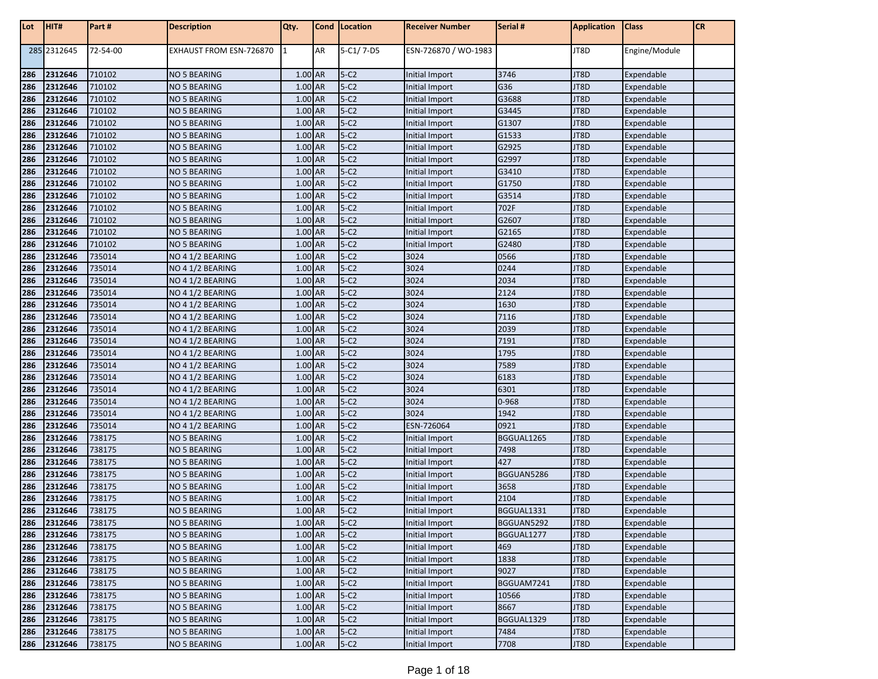| Lot | HIT#        | Part#    | <b>Description</b>      | Qty.      |    | Cond   Location | <b>Receiver Number</b> | Serial #   | <b>Application</b> | <b>Class</b>  | ${\sf CR}$ |
|-----|-------------|----------|-------------------------|-----------|----|-----------------|------------------------|------------|--------------------|---------------|------------|
|     | 285 2312645 | 72-54-00 | EXHAUST FROM ESN-726870 | 1         | AR | 5-C1/7-D5       | ESN-726870 / WO-1983   |            | JT8D               | Engine/Module |            |
| 286 | 2312646     | 710102   | NO 5 BEARING            | 1.00 AR   |    | $5-C2$          | Initial Import         | 3746       | JT8D               | Expendable    |            |
| 286 | 2312646     | 710102   | NO 5 BEARING            | 1.00 AR   |    | $5-C2$          | Initial Import         | G36        | JT8D               | Expendable    |            |
| 286 | 2312646     | 710102   | NO 5 BEARING            | 1.00 AR   |    | $5-C2$          | Initial Import         | G3688      | JT8D               | Expendable    |            |
| 286 | 2312646     | 710102   | NO 5 BEARING            | 1.00 AR   |    | $5-C2$          | Initial Import         | G3445      | JT8D               | Expendable    |            |
| 286 | 2312646     | 710102   | NO 5 BEARING            | 1.00 AR   |    | $5-C2$          | Initial Import         | G1307      | JT8D               | Expendable    |            |
| 286 | 2312646     | 710102   | NO 5 BEARING            | 1.00 AR   |    | $5-C2$          | Initial Import         | G1533      | JT8D               | Expendable    |            |
| 286 | 2312646     | 710102   | NO 5 BEARING            | 1.00 AR   |    | $5-C2$          | Initial Import         | G2925      | JT8D               | Expendable    |            |
| 286 | 2312646     | 710102   | NO 5 BEARING            | 1.00 AR   |    | $5-C2$          | Initial Import         | G2997      | JT8D               | Expendable    |            |
| 286 | 2312646     | 710102   | NO 5 BEARING            | 1.00 AR   |    | $5-C2$          | Initial Import         | G3410      | JT8D               | Expendable    |            |
| 286 | 2312646     | 710102   | NO 5 BEARING            | 1.00 AR   |    | $5-C2$          | Initial Import         | G1750      | JT8D               | Expendable    |            |
| 286 | 2312646     | 710102   | NO 5 BEARING            | 1.00 AR   |    | $5-C2$          | Initial Import         | G3514      | JT8D               | Expendable    |            |
| 286 | 2312646     | 710102   | NO 5 BEARING            | 1.00 AR   |    | $5-C2$          | Initial Import         | 702F       | JT8D               | Expendable    |            |
| 286 | 2312646     | 710102   | NO 5 BEARING            | 1.00 AR   |    | $5-C2$          | Initial Import         | G2607      | JT8D               | Expendable    |            |
| 286 | 2312646     | 710102   | NO 5 BEARING            | $1.00$ AR |    | $5-C2$          | Initial Import         | G2165      | JT8D               | Expendable    |            |
| 286 | 2312646     | 710102   | NO 5 BEARING            | 1.00 AR   |    | $5-C2$          | Initial Import         | G2480      | JT8D               | Expendable    |            |
| 286 | 2312646     | 735014   | NO 4 1/2 BEARING        | 1.00 AR   |    | $5-C2$          | 3024                   | 0566       | JT8D               | Expendable    |            |
| 286 | 2312646     | 735014   | NO 4 1/2 BEARING        | 1.00 AR   |    | $5-C2$          | 3024                   | 0244       | JT8D               | Expendable    |            |
| 286 | 2312646     | 735014   | NO 4 1/2 BEARING        | $1.00$ AR |    | $5-C2$          | 3024                   | 2034       | JT8D               | Expendable    |            |
| 286 | 2312646     | 735014   | NO 4 1/2 BEARING        | 1.00 AR   |    | $5-C2$          | 3024                   | 2124       | JT8D               | Expendable    |            |
| 286 | 2312646     | 735014   | NO 4 1/2 BEARING        | 1.00 AR   |    | $5-C2$          | 3024                   | 1630       | JT8D               | Expendable    |            |
| 286 | 2312646     | 735014   | NO 4 1/2 BEARING        | 1.00 AR   |    | $5-C2$          | 3024                   | 7116       | JT8D               | Expendable    |            |
| 286 | 2312646     | 735014   | NO 4 1/2 BEARING        | 1.00 AR   |    | $5-C2$          | 3024                   | 2039       | JT8D               | Expendable    |            |
| 286 | 2312646     | 735014   | NO 4 1/2 BEARING        | 1.00 AR   |    | $5-C2$          | 3024                   | 7191       | JT8D               | Expendable    |            |
| 286 | 2312646     | 735014   | NO 4 1/2 BEARING        | 1.00 AR   |    | $5-C2$          | 3024                   | 1795       | JT8D               | Expendable    |            |
| 286 | 2312646     | 735014   | NO 4 1/2 BEARING        | 1.00 AR   |    | $5-C2$          | 3024                   | 7589       | JT8D               | Expendable    |            |
| 286 | 2312646     | 735014   | NO 4 1/2 BEARING        | 1.00 AR   |    | $5-C2$          | 3024                   | 6183       | JT8D               | Expendable    |            |
| 286 | 2312646     | 735014   | NO 4 1/2 BEARING        | 1.00 AR   |    | $5-C2$          | 3024                   | 6301       | JT8D               | Expendable    |            |
| 286 | 2312646     | 735014   | NO 4 1/2 BEARING        | 1.00 AR   |    | $5-C2$          | 3024                   | 0-968      | JT8D               | Expendable    |            |
| 286 | 2312646     | 735014   | NO 4 1/2 BEARING        | 1.00 AR   |    | $5-C2$          | 3024                   | 1942       | JT8D               | Expendable    |            |
| 286 | 2312646     | 735014   | NO 4 1/2 BEARING        | 1.00 AR   |    | $5-C2$          | ESN-726064             | 0921       | JT8D               | Expendable    |            |
| 286 | 2312646     | 738175   | NO 5 BEARING            | 1.00 AR   |    | $5-C2$          | Initial Import         | BGGUAL1265 | JT8D               | Expendable    |            |
| 286 | 2312646     | 738175   | NO 5 BEARING            | 1.00 AR   |    | $5-C2$          | Initial Import         | 7498       | JT8D               | Expendable    |            |
| 286 | 2312646     | 738175   | <b>NO 5 BEARING</b>     | 1.00 AR   |    | $5-C2$          | Initial Import         | 427        | JT8D               | Expendable    |            |
| 286 | 2312646     | 738175   | <b>NO 5 BEARING</b>     | 1.00 AR   |    | $5-C2$          | Initial Import         | BGGUAN5286 | JT8D               | Expendable    |            |
| 286 | 2312646     | 738175   | NO 5 BEARING            | 1.00 AR   |    | $5-C2$          | Initial Import         | 3658       | JT8D               | Expendable    |            |
| 286 | 2312646     | 738175   | NO 5 BEARING            | $1.00$ AR |    | $5-C2$          | Initial Import         | 2104       | JT8D               | Expendable    |            |
| 286 | 2312646     | 738175   | NO 5 BEARING            | 1.00 AR   |    | $5-C2$          | Initial Import         | BGGUAL1331 | JT8D               | Expendable    |            |
| 286 | 2312646     | 738175   | <b>NO 5 BEARING</b>     | 1.00 AR   |    | $5-C2$          | Initial Import         | BGGUAN5292 | JT8D               | Expendable    |            |
| 286 | 2312646     | 738175   | NO 5 BEARING            | 1.00 AR   |    | $5-C2$          | Initial Import         | BGGUAL1277 | JT8D               | Expendable    |            |
| 286 | 2312646     | 738175   | NO 5 BEARING            | 1.00 AR   |    | $5-C2$          | Initial Import         | 469        | JT8D               | Expendable    |            |
| 286 | 2312646     | 738175   | NO 5 BEARING            | 1.00 AR   |    | $5-C2$          | Initial Import         | 1838       | JT8D               | Expendable    |            |
| 286 | 2312646     | 738175   | NO 5 BEARING            | 1.00 AR   |    | $5-C2$          | Initial Import         | 9027       | JT8D               | Expendable    |            |
| 286 | 2312646     | 738175   | <b>NO 5 BEARING</b>     | 1.00 AR   |    | $5-C2$          | Initial Import         | BGGUAM7241 | JT8D               | Expendable    |            |
| 286 | 2312646     | 738175   | NO 5 BEARING            | 1.00 AR   |    | $5-C2$          | Initial Import         | 10566      | JT8D               | Expendable    |            |
| 286 | 2312646     | 738175   | NO 5 BEARING            | 1.00 AR   |    | $5-C2$          | Initial Import         | 8667       | JT8D               | Expendable    |            |
| 286 | 2312646     | 738175   | NO 5 BEARING            | 1.00 AR   |    | $5-C2$          | Initial Import         | BGGUAL1329 | JT8D               | Expendable    |            |
| 286 | 2312646     | 738175   | NO 5 BEARING            | 1.00 AR   |    | $5-C2$          | Initial Import         | 7484       | JT8D               | Expendable    |            |
|     | 286 2312646 | 738175   | <b>NO 5 BEARING</b>     | 1.00 AR   |    | $5-C2$          | Initial Import         | 7708       | JT8D               | Expendable    |            |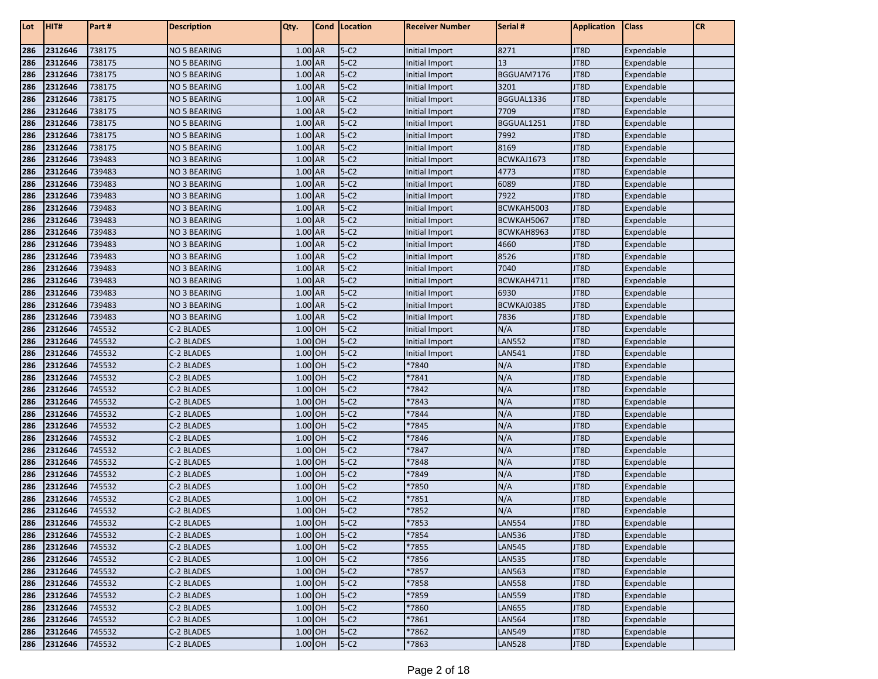| Lot        | HIT#               | Part#            | <b>Description</b>       | Qty.                 | Cond   Location  | <b>Receiver Number</b> | Serial #             | <b>Application</b> | <b>Class</b>             | <b>CR</b> |
|------------|--------------------|------------------|--------------------------|----------------------|------------------|------------------------|----------------------|--------------------|--------------------------|-----------|
| 286        | 2312646            | 738175           | <b>NO 5 BEARING</b>      | 1.00 AR              | $5-C2$           | <b>Initial Import</b>  | 8271                 | JT8D               | Expendable               |           |
| 286        | 2312646            | 738175           | <b>NO 5 BEARING</b>      | 1.00 AR              | $5-C2$           | <b>Initial Import</b>  | 13                   | JT8D               | Expendable               |           |
| 286        | 2312646            | 738175           | <b>NO 5 BEARING</b>      | 1.00 AR              | $5-C2$           | Initial Import         | BGGUAM7176           | JT8D               | Expendable               |           |
| 286        | 2312646            | 738175           | <b>NO 5 BEARING</b>      | 1.00 AR              | $5-C2$           | Initial Import         | 3201                 | JT8D               | Expendable               |           |
| 286        | 2312646            | 738175           | <b>NO 5 BEARING</b>      | 1.00 AR              | $5-C2$           | Initial Import         | BGGUAL1336           | JT8D               | Expendable               |           |
| 286        | 2312646            | 738175           | <b>NO 5 BEARING</b>      | 1.00 AR              | $5-C2$           | Initial Import         | 7709                 | JT8D               | Expendable               |           |
| 286        | 2312646            | 738175           | <b>NO 5 BEARING</b>      | 1.00 AR              | $5-C2$           | Initial Import         | BGGUAL1251           | JT8D               | Expendable               |           |
| 286        | 2312646            | 738175           | <b>NO 5 BEARING</b>      | 1.00 AR              | $5-C2$           | Initial Import         | 7992                 | JT8D               | Expendable               |           |
| 286        | 2312646            | 738175           | <b>NO 5 BEARING</b>      | 1.00 AR              | $5-C2$           | Initial Import         | 8169                 | JT8D               | Expendable               |           |
| 286        | 2312646            | 739483           | <b>NO 3 BEARING</b>      | 1.00 AR              | $5-C2$           | Initial Import         | BCWKAJ1673           | JT8D               | Expendable               |           |
| 286        | 2312646            | 739483           | <b>NO 3 BEARING</b>      | 1.00 AR              | $5-C2$           | Initial Import         | 4773                 | JT8D               | Expendable               |           |
| 286        | 2312646            | 739483           | <b>NO 3 BEARING</b>      | 1.00 AR              | $5-C2$           | Initial Import         | 6089                 | JT8D               | Expendable               |           |
| 286        | 2312646            | 739483           | <b>NO 3 BEARING</b>      | 1.00 AR              | $5-C2$           | Initial Import         | 7922                 | JT8D               | Expendable               |           |
| 286        | 2312646            | 739483           | <b>NO 3 BEARING</b>      | 1.00 AR              | $5-C2$           | Initial Import         | BCWKAH5003           | JT8D               | Expendable               |           |
| 286        | 2312646            | 739483           | <b>NO 3 BEARING</b>      | 1.00 AR              | $5-C2$           | Initial Import         | BCWKAH5067           | JT8D               | Expendable               |           |
| 286        | 2312646            | 739483           | <b>NO 3 BEARING</b>      | 1.00 AR              | $5-C2$           | Initial Import         | BCWKAH8963           | JT8D               | Expendable               |           |
| 286        | 2312646            | 739483           | <b>NO 3 BEARING</b>      | 1.00 AR              | $5-C2$           | Initial Import         | 4660                 | JT8D               | Expendable               |           |
| 286        | 2312646            | 739483           | <b>NO 3 BEARING</b>      | 1.00 AR              | $5-C2$           | Initial Import         | 8526                 | JT8D               | Expendable               |           |
| 286        | 2312646            | 739483           | <b>NO 3 BEARING</b>      | 1.00 AR              | $5-C2$           | Initial Import         | 7040                 | JT8D               | Expendable               |           |
| 286        | 2312646            | 739483           | <b>NO 3 BEARING</b>      | 1.00 AR              | $5-C2$           | Initial Import         | BCWKAH4711           | JT8D               | Expendable               |           |
| 286        | 2312646            | 739483           | <b>NO 3 BEARING</b>      | 1.00 AR              | $5-C2$           | Initial Import         | 6930                 | JT8D               | Expendable               |           |
| 286        | 2312646            | 739483           | <b>NO 3 BEARING</b>      | 1.00 AR              | $5-C2$           | Initial Import         | BCWKAJ0385           | JT8D               | Expendable               |           |
| 286        | 2312646            | 739483           | <b>NO 3 BEARING</b>      | 1.00 AR              | $5-C2$           | Initial Import         | 7836                 | JT8D               | Expendable               |           |
| 286        | 2312646            | 745532           | C-2 BLADES               | 1.00 OH              | $5-C2$           | Initial Import         | N/A                  | JT8D               | Expendable               |           |
| 286        | 2312646            | 745532           | C-2 BLADES               | 1.00 OH              | $5-C2$           | Initial Import         | <b>LAN552</b>        | JT8D               | Expendable               |           |
| 286        | 2312646            | 745532           | C-2 BLADES               | 1.00 OH              | $5-C2$           | Initial Import         | <b>LAN541</b>        | JT8D               | Expendable               |           |
| 286        | 2312646            | 745532           | C-2 BLADES               | 1.00 OH              | $5-C2$           | *7840                  | N/A                  | JT8D               | Expendable               |           |
| 286        | 2312646            | 745532           | C-2 BLADES               | 1.00 OH              | $5-C2$           | *7841                  | N/A                  | JT8D               | Expendable               |           |
| 286        | 2312646            | 745532           | C-2 BLADES               | 1.00 OH              | $5-C2$           | *7842                  | N/A                  | JT8D               | Expendable               |           |
| 286        | 2312646            | 745532           | C-2 BLADES               | 1.00 OH              | $5-C2$           | *7843                  | N/A                  | JT8D               | Expendable               |           |
| 286        | 2312646            | 745532           | C-2 BLADES               | 1.00 OH              | $5-C2$           | *7844                  | N/A                  | JT8D               | Expendable               |           |
| 286        | 2312646            | 745532           | C-2 BLADES               | 1.00 OH              | $5-C2$           | *7845                  | N/A                  | JT8D               | Expendable               |           |
| 286        | 2312646            | 745532           | C-2 BLADES               | 1.00 OH              | $5-C2$           | *7846                  | N/A                  | JT8D               | Expendable               |           |
| 286        | 2312646            | 745532           | C-2 BLADES               | 1.00 OH              | $5-C2$           | *7847                  | N/A                  | JT8D               | Expendable               |           |
| 286        | 2312646            | 745532           | C-2 BLADES               | 1.00 OH<br>$1.00$ OH | $5-C2$           | *7848                  | N/A                  | JT8D               | Expendable               |           |
| 286        | 2312646            | 745532           | C-2 BLADES               |                      | $5-C2$           | *7849                  | N/A                  | JT8D               | Expendable               |           |
| 286        | 2312646            | 745532           | C-2 BLADES               | 1.00 OH              | $5-C2$           | *7850                  | N/A                  | JT8D               | Expendable               |           |
| 286        | 2312646<br>2312646 | 745532           | C-2 BLADES               | 1.00 OH<br>$1.00$ OH | $5-C2$           | *7851                  | N/A                  | JT8D               | Expendable               |           |
| 286        |                    | 745532<br>745532 | C-2 BLADES               | $1.00$ OH            | $5-C2$<br>$5-C2$ | *7852                  | N/A<br><b>LAN554</b> | JT8D<br>JT8D       | Expendable<br>Expendable |           |
| 286<br>286 | 2312646<br>2312646 | 745532           | C-2 BLADES<br>C-2 BLADES | 1.00 OH              | $5-C2$           | *7853<br>*7854         | <b>LAN536</b>        | JT8D               | Expendable               |           |
| 286        | 2312646            | 745532           | C-2 BLADES               | $1.00$ OH            | $5-C2$           | *7855                  | <b>LAN545</b>        | JT8D               | Expendable               |           |
| 286        | 2312646            | 745532           | C-2 BLADES               | $1.00$ OH            | $5-C2$           | *7856                  | <b>LAN535</b>        | JT8D               | Expendable               |           |
| 286        | 2312646            | 745532           | C-2 BLADES               | 1.00 OH              | $5-C2$           | *7857                  | <b>LAN563</b>        | JT8D               | Expendable               |           |
| 286        | 2312646            | 745532           | C-2 BLADES               | 1.00 OH              | $5-C2$           | *7858                  | <b>LAN558</b>        | JT8D               | Expendable               |           |
| 286        | 2312646            | 745532           | C-2 BLADES               | 1.00 OH              | $5-C2$           | *7859                  | <b>LAN559</b>        | JT8D               | Expendable               |           |
| 286        | 2312646            | 745532           | C-2 BLADES               | 1.00 OH              | $5-C2$           | *7860                  | <b>LAN655</b>        | JT8D               | Expendable               |           |
| 286        | 2312646            | 745532           | C-2 BLADES               | 1.00 OH              | $5-C2$           | *7861                  | <b>LAN564</b>        | JT8D               | Expendable               |           |
| 286        | 2312646            | 745532           | C-2 BLADES               | 1.00 OH              | $5-C2$           | *7862                  | <b>LAN549</b>        | JT8D               | Expendable               |           |
| 286        | 2312646            | 745532           | C-2 BLADES               | 1.00 OH              | $5-C2$           | *7863                  | <b>LAN528</b>        | JT8D               | Expendable               |           |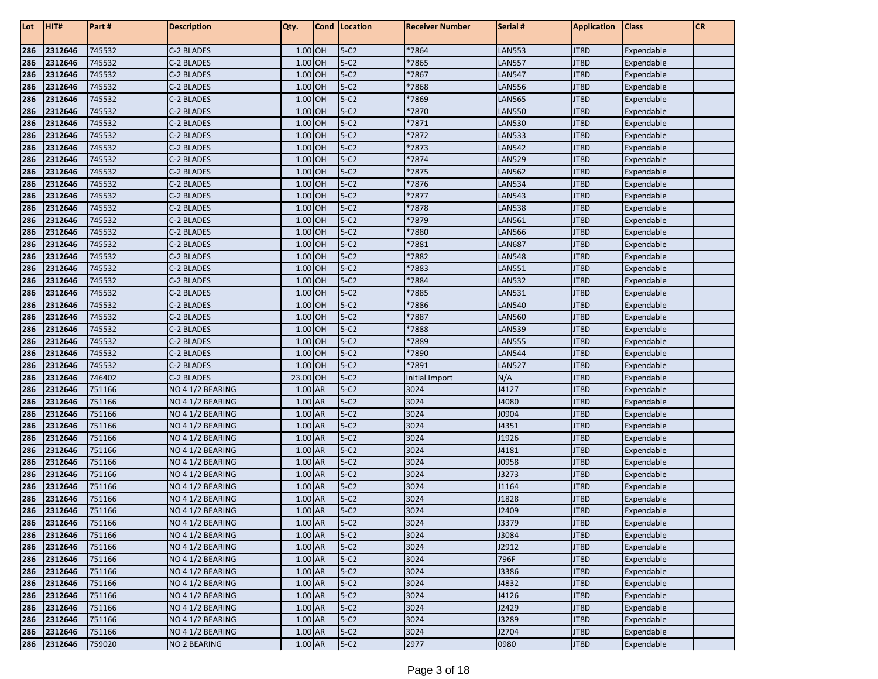| Lot        | HIT#               | Part#            | <b>Description</b>                   | Qty.               | Cond | Location         | <b>Receiver Number</b> | Serial #       | <b>Application</b> | <b>Class</b>             | <b>CR</b> |
|------------|--------------------|------------------|--------------------------------------|--------------------|------|------------------|------------------------|----------------|--------------------|--------------------------|-----------|
| 286        | 2312646            | 745532           | C-2 BLADES                           | 1.00 OH            |      | $5-C2$           | *7864                  | <b>LAN553</b>  | JT8D               | Expendable               |           |
| 286        | 2312646            | 745532           | C-2 BLADES                           | 1.00               | OH   | $5-C2$           | *7865                  | <b>LAN557</b>  | JT8D               | Expendable               |           |
| 286        | 2312646            | 745532           | C-2 BLADES                           | 1.00 OH            |      | $5-C2$           | *7867                  | <b>LAN547</b>  | JT8D               | Expendable               |           |
| 286        | 2312646            | 745532           | C-2 BLADES                           | 1.00 OH            |      | $5-C2$           | *7868                  | <b>LAN556</b>  | JT8D               | Expendable               |           |
| 286        | 2312646            | 745532           | C-2 BLADES                           | 1.00 OH            |      | $5-C2$           | *7869                  | <b>LAN565</b>  | JT8D               | Expendable               |           |
| 286        | 2312646            | 745532           | C-2 BLADES                           | 1.00 OH            |      | $5-C2$           | *7870                  | <b>LAN550</b>  | JT8D               | Expendable               |           |
| 286        | 2312646            | 745532           | C-2 BLADES                           | 1.00 OH            |      | $5-C2$           | *7871                  | <b>LAN530</b>  | JT8D               | Expendable               |           |
| 286        | 2312646            | 745532           | C-2 BLADES                           | 1.00 OH            |      | $5-C2$           | *7872                  | <b>LAN533</b>  | JT8D               | Expendable               |           |
| 286        | 2312646            | 745532           | C-2 BLADES                           | 1.00 OH            |      | $5-C2$           | *7873                  | <b>LAN542</b>  | JT8D               | Expendable               |           |
| 286        | 2312646            | 745532           | C-2 BLADES                           | 1.00 OH            |      | $5-C2$           | *7874                  | <b>LAN529</b>  | JT8D               | Expendable               |           |
| 286        | 2312646            | 745532           | C-2 BLADES                           | 1.00 OH            |      | $5-C2$           | *7875                  | <b>LAN562</b>  | JT8D               | Expendable               |           |
| 286        | 2312646            | 745532           | C-2 BLADES                           | 1.00 OH            |      | $5-C2$           | *7876                  | <b>LAN534</b>  | JT8D               | Expendable               |           |
| 286        | 2312646            | 745532           | C-2 BLADES                           | 1.00 OH            |      | $5-C2$           | *7877                  | <b>LAN543</b>  | JT8D               | Expendable               |           |
| 286        | 2312646            | 745532           | C-2 BLADES                           | 1.00 OH            |      | $5-C2$           | *7878                  | <b>LAN538</b>  | JT8D               | Expendable               |           |
| 286        | 2312646            | 745532           | C-2 BLADES                           | 1.00 OH            |      | $5-C2$           | *7879                  | <b>LAN561</b>  | JT8D               | Expendable               |           |
| 286        | 2312646            | 745532           | C-2 BLADES                           | 1.00 OH            |      | $5-C2$           | *7880                  | <b>LAN566</b>  | JT8D               | Expendable               |           |
| 286        | 2312646            | 745532           | C-2 BLADES                           | 1.00 OH            |      | $5-C2$           | *7881                  | <b>LAN687</b>  | JT8D               | Expendable               |           |
| 286        | 2312646            | 745532           | C-2 BLADES                           | 1.00 OH            |      | $5-C2$           | *7882                  | <b>LAN548</b>  | JT8D               | Expendable               |           |
| 286        | 2312646            | 745532           | C-2 BLADES                           | 1.00 OH            |      | $5-C2$           | *7883                  | <b>LAN551</b>  | JT8D               | Expendable               |           |
| 286        | 2312646            | 745532           | C-2 BLADES                           | 1.00 OH            |      | $5-C2$           | *7884                  | <b>LAN532</b>  | JT8D               | Expendable               |           |
| 286        | 2312646            | 745532           | C-2 BLADES                           | 1.00 OH            |      | $5-C2$           | *7885                  | <b>LAN531</b>  | JT8D               | Expendable               |           |
| 286        | 2312646            | 745532           | C-2 BLADES                           | 1.00 OH            |      | $5-C2$           | *7886                  | <b>LAN540</b>  | JT8D               | Expendable               |           |
| 286        | 2312646            | 745532           | C-2 BLADES                           | 1.00 OH            |      | $5-C2$           | *7887                  | <b>LAN560</b>  | JT8D               | Expendable               |           |
| 286        | 2312646            | 745532           | C-2 BLADES                           | 1.00 OH            |      | $5-C2$           | *7888                  | <b>LAN539</b>  | JT8D               | Expendable               |           |
| 286        | 2312646            | 745532           | C-2 BLADES                           | 1.00 OH            |      | $5-C2$           | *7889                  | <b>LAN555</b>  | JT8D               | Expendable               |           |
| 286        | 2312646            | 745532           | C-2 BLADES                           | 1.00 OH            |      | $5-C2$           | *7890                  | <b>LAN544</b>  | JT8D               | Expendable               |           |
| 286        | 2312646            | 745532           | C-2 BLADES                           | 1.00 OH            |      | $5-C2$           | *7891                  | <b>LAN527</b>  | JT8D               | Expendable               |           |
| 286        | 2312646            | 746402           | C-2 BLADES                           | 23.00 OH           |      | $5-C2$           | <b>Initial Import</b>  | N/A            | JT8D               | Expendable               |           |
| 286        | 2312646            | 751166           | NO 4 1/2 BEARING                     | 1.00 AR            |      | $5-C2$           | 3024                   | J4127          | JT8D               | Expendable               |           |
| 286        | 2312646            | 751166           | NO 4 1/2 BEARING                     | 1.00 AR            |      | $5-C2$           | 3024                   | J4080          | JT8D               | Expendable               |           |
| 286        | 2312646            | 751166           | NO 4 1/2 BEARING                     | 1.00 AR            |      | $5-C2$           | 3024                   | J0904          | JT8D               | Expendable               |           |
| 286        | 2312646            | 751166           | NO 4 1/2 BEARING                     | 1.00 AR            |      | $5-C2$           | 3024                   | J4351          | JT8D               | Expendable               |           |
| 286        | 2312646            | 751166<br>751166 | NO 4 1/2 BEARING                     | 1.00 AR<br>1.00 AR |      | $5-C2$<br>$5-C2$ | 3024<br>3024           | J1926<br>J4181 | JT8D<br>JT8D       | Expendable               |           |
| 286<br>286 | 2312646<br>2312646 | 751166           | NO 4 1/2 BEARING<br>NO 4 1/2 BEARING | 1.00 AR            |      | $5-C2$           | 3024                   | J0958          | JT8D               | Expendable               |           |
| 286        | 2312646            | 751166           | NO 4 1/2 BEARING                     | $1.00$ AR          |      | $5-C2$           | 3024                   | J3273          | JT8D               | Expendable<br>Expendable |           |
| 286        | 2312646            | 751166           | NO 4 1/2 BEARING                     | 1.00 AR            |      | $5-C2$           | 3024                   | J1164          | JT8D               | Expendable               |           |
| 286        | 2312646            | 751166           |                                      | 1.00 AR            |      | $5-C2$           | 3024                   | J1828          | JT8D               |                          |           |
| 286        | 2312646            | 751166           | NO 4 1/2 BEARING<br>NO 4 1/2 BEARING | 1.00 AR            |      | $5-C2$           | 3024                   | J2409          | JT8D               | Expendable<br>Expendable |           |
| 286        | 2312646            | 751166           | NO 4 1/2 BEARING                     | 1.00 AR            |      | $5-C2$           | 3024                   | J3379          | JT8D               | Expendable               |           |
| 286        | 2312646            | 751166           | NO 4 1/2 BEARING                     | 1.00 AR            |      | $5-C2$           | 3024                   | J3084          | JT8D               | Expendable               |           |
| 286        | 2312646            | 751166           | NO 4 1/2 BEARING                     | 1.00 AR            |      | $5-C2$           | 3024                   | J2912          | JT8D               | Expendable               |           |
| 286        | 2312646            | 751166           | NO 4 1/2 BEARING                     | $1.00$ AR          |      | $5-C2$           | 3024                   | 796F           | JT8D               | Expendable               |           |
| 286        | 2312646            | 751166           | NO 4 1/2 BEARING                     | 1.00 AR            |      | $5-C2$           | 3024                   | J3386          | JT8D               | Expendable               |           |
| 286        | 2312646            | 751166           | NO 4 1/2 BEARING                     | $1.00$ AR          |      | $5-C2$           | 3024                   | J4832          | JT8D               | Expendable               |           |
| 286        | 2312646            | 751166           | NO 4 1/2 BEARING                     | $1.00$ AR          |      | $5-C2$           | 3024                   | J4126          | JT8D               | Expendable               |           |
| 286        | 2312646            | 751166           | NO 4 1/2 BEARING                     | 1.00 AR            |      | $5-C2$           | 3024                   | J2429          | JT8D               | Expendable               |           |
| 286        | 2312646            | 751166           | NO 4 1/2 BEARING                     | 1.00 AR            |      | $5-C2$           | 3024                   | J3289          | JT8D               | Expendable               |           |
| 286        | 2312646            | 751166           | NO 4 1/2 BEARING                     | 1.00 AR            |      | $5-C2$           | 3024                   | J2704          | JT8D               | Expendable               |           |
| 286        | 2312646            | 759020           | NO 2 BEARING                         | $1.00$ AR          |      | $5-C2$           | 2977                   | 0980           | JT8D               | Expendable               |           |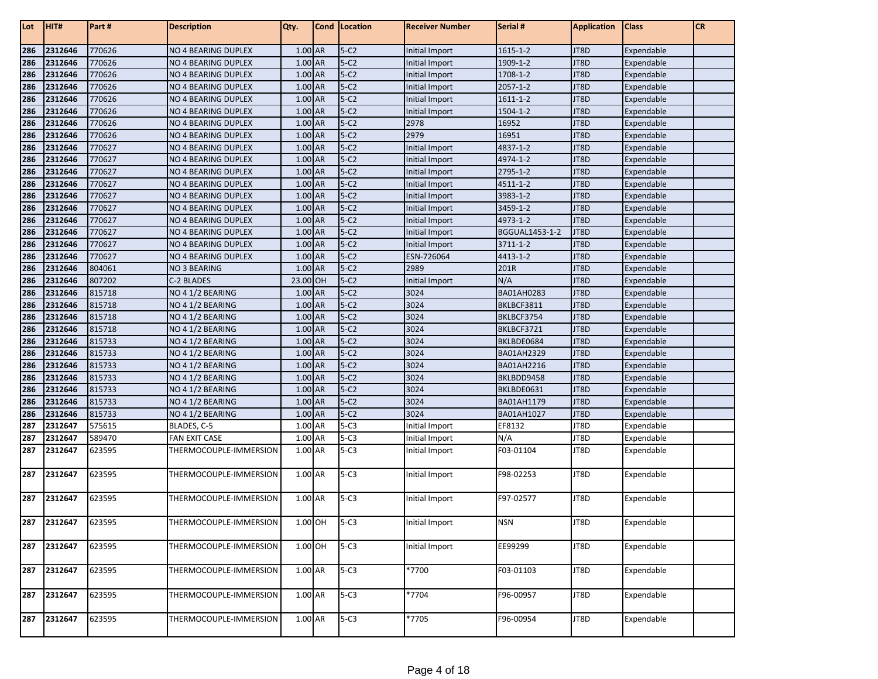| Lot        | HIT#               | Part#            | <b>Description</b>                  | Qty.               | Cond   Location  | <b>Receiver Number</b>           | Serial #       | <b>Application</b> | <b>Class</b>             | <b>CR</b> |
|------------|--------------------|------------------|-------------------------------------|--------------------|------------------|----------------------------------|----------------|--------------------|--------------------------|-----------|
| 286        | 2312646            | 770626           | NO 4 BEARING DUPLEX                 | $1.00$ AR          | $5-C2$           | Initial Import                   | $1615 - 1 - 2$ | JT8D               | Expendable               |           |
| 286        | 2312646            | 770626           | NO 4 BEARING DUPLEX                 | 1.00 AR            | $5-C2$           | Initial Import                   | 1909-1-2       | JT8D               | Expendable               |           |
| 286        | 2312646            | 770626           | NO 4 BEARING DUPLEX                 | 1.00 AR            | $5-C2$           | Initial Import                   | 1708-1-2       | JT8D               | Expendable               |           |
| 286        | 2312646            | 770626           | NO 4 BEARING DUPLEX                 | 1.00 AR            | $5-C2$           | Initial Import                   | $2057 - 1 - 2$ | JT8D               | Expendable               |           |
| 286        | 2312646            | 770626           | NO 4 BEARING DUPLEX                 | 1.00 AR            | $5-C2$           | Initial Import                   | $1611 - 1 - 2$ | JT8D               | Expendable               |           |
| 286        | 2312646            | 770626           | NO 4 BEARING DUPLEX                 | 1.00 AR            | $5-C2$           | Initial Import                   | 1504-1-2       | JT8D               | Expendable               |           |
| 286        | 2312646            | 770626           | NO 4 BEARING DUPLEX                 | 1.00 AR            | $5-C2$           | 2978                             | 16952          | JT8D               | Expendable               |           |
| 286        | 2312646            | 770626           | NO 4 BEARING DUPLEX                 | 1.00 AR            | $5-C2$           | 2979                             | 16951          | JT8D               | Expendable               |           |
| 286        | 2312646            | 770627           | NO 4 BEARING DUPLEX                 | 1.00 AR            | $5-C2$           | Initial Import                   | 4837-1-2       | JT8D               | Expendable               |           |
| 286        | 2312646            | 770627           | NO 4 BEARING DUPLEX                 | $1.00$ AR          | $5-C2$           | Initial Import                   | 4974-1-2       | JT8D               | Expendable               |           |
| 286        | 2312646            | 770627           | NO 4 BEARING DUPLEX                 | 1.00 AR            | $5-C2$           | Initial Import                   | 2795-1-2       | JT8D               | Expendable               |           |
| 286        | 2312646            | 770627           | NO 4 BEARING DUPLEX                 | 1.00 AR            | $5-C2$           | Initial Import                   | 4511-1-2       | JT8D               | Expendable               |           |
| 286        | 2312646            | 770627           | NO 4 BEARING DUPLEX                 | 1.00 AR            | $5-C2$           | Initial Import                   | 3983-1-2       | JT8D               | Expendable               |           |
| 286        | 2312646            | 770627           | NO 4 BEARING DUPLEX                 | 1.00 AR            | $5-C2$           | Initial Import                   | 3459-1-2       | JT8D               | Expendable               |           |
| 286        | 2312646            | 770627           | NO 4 BEARING DUPLEX                 | 1.00 AR            | $5-C2$           | Initial Import                   | 4973-1-2       | JT8D               | Expendable               |           |
| 286        | 2312646            | 770627           | NO 4 BEARING DUPLEX                 | 1.00 AR            | $5-C2$           | Initial Import                   | BGGUAL1453-1-2 | JT8D               | Expendable               |           |
| 286        | 2312646            | 770627           | NO 4 BEARING DUPLEX                 | 1.00 AR            | $5-C2$           | Initial Import                   | 3711-1-2       | JT8D               | Expendable               |           |
| 286        | 2312646            | 770627           | NO 4 BEARING DUPLEX                 | 1.00 AR            | $5-C2$           | ESN-726064                       | 4413-1-2       | JT8D               | Expendable               |           |
| 286        | 2312646            | 804061           | NO 3 BEARING                        | 1.00 AR            | $5-C2$           | 2989                             | 201R           | JT8D               | Expendable               |           |
| 286        | 2312646            | 807202           | C-2 BLADES                          | 23.00 OH           | $5-C2$           | Initial Import                   | N/A            | JT8D               | Expendable               |           |
| 286        | 2312646            | 815718           | NO 4 1/2 BEARING                    | 1.00 AR            | $5-C2$           | 3024                             | BA01AH0283     | JT8D               | Expendable               |           |
| 286        | 2312646            | 815718           | NO 4 1/2 BEARING                    | 1.00 AR            | $5-C2$           | 3024                             | BKLBCF3811     | JT8D               | Expendable               |           |
| 286        | 2312646            | 815718           | NO 4 1/2 BEARING                    | 1.00 AR            | $5-C2$           | 3024                             | BKLBCF3754     | JT8D               | Expendable               |           |
| 286        | 2312646            | 815718           | NO 4 1/2 BEARING                    | 1.00 AR            | $5-C2$           | 3024                             | BKLBCF3721     | JT8D               | Expendable               |           |
| 286        | 2312646            | 815733           | NO 4 1/2 BEARING                    | $1.00$ AR          | $5-C2$           | 3024                             | BKLBDE0684     | JT8D               | Expendable               |           |
| 286        | 2312646            | 815733           | NO 4 1/2 BEARING                    | 1.00 AR            | $5-C2$           | 3024                             | BA01AH2329     | JT8D               | Expendable               |           |
| 286        | 2312646            | 815733           | NO 4 1/2 BEARING                    | 1.00 AR            | $5-C2$           | 3024                             | BA01AH2216     | JT8D               | Expendable               |           |
| 286        | 2312646            | 815733           | NO 4 1/2 BEARING                    | 1.00 AR            | $5-C2$           | 3024                             | BKLBDD9458     | JT8D               | Expendable               |           |
| 286        | 2312646            | 815733           | NO 4 1/2 BEARING                    | 1.00 AR            | $5-C2$           | 3024<br>3024                     | BKLBDE0631     | JT8D               | Expendable               |           |
| 286        | 2312646            | 815733           | NO 4 1/2 BEARING                    | 1.00 AR<br>1.00 AR | $5-C2$<br>$5-C2$ | 3024                             | BA01AH1179     | JT8D<br>JT8D       | Expendable               |           |
| 286        | 2312646<br>2312647 | 815733<br>575615 | NO 4 1/2 BEARING                    | 1.00 AR            | $5-C3$           |                                  | BA01AH1027     | JT8D               | Expendable               |           |
| 287<br>287 | 2312647            | 589470           | BLADES, C-5<br><b>FAN EXIT CASE</b> | 1.00 AR            | $5 - C3$         | Initial Import                   | EF8132<br>N/A  | JT8D               | Expendable<br>Expendable |           |
| 287        | 2312647            | 623595           | THERMOCOUPLE-IMMERSION              | 1.00 AR            | $5-C3$           | Initial Import<br>Initial Import | F03-01104      | JT8D               | Expendable               |           |
|            |                    |                  |                                     |                    |                  |                                  |                |                    |                          |           |
| 287        | 2312647            | 623595           | THERMOCOUPLE-IMMERSION              | 1.00 AR            | $5-C3$           | Initial Import                   | F98-02253      | JT8D               | Expendable               |           |
| 287        | 2312647            | 623595           | THERMOCOUPLE-IMMERSION              | 1.00 AR            | $5-C3$           | Initial Import                   | F97-02577      | JT8D               | Expendable               |           |
| 287        | 2312647            | 623595           | THERMOCOUPLE-IMMERSION              | 1.00 OH            | $5-C3$           | Initial Import                   | <b>NSN</b>     | JT8D               | Expendable               |           |
| 287        | 2312647            | 623595           | THERMOCOUPLE-IMMERSION              | $1.00$ OH          | $5-C3$           | Initial Import                   | EE99299        | JT8D               | Expendable               |           |
| 287        | 2312647            | 623595           | THERMOCOUPLE-IMMERSION              | 1.00 AR            | $5-C3$           | *7700                            | F03-01103      | JT8D               | Expendable               |           |
| 287        | 2312647            | 623595           | THERMOCOUPLE-IMMERSION              | 1.00 AR            | $5-C3$           | *7704                            | F96-00957      | JT8D               | Expendable               |           |
| 287        | 2312647            | 623595           | THERMOCOUPLE-IMMERSION              | 1.00 AR            | $5-C3$           | *7705                            | F96-00954      | JT8D               | Expendable               |           |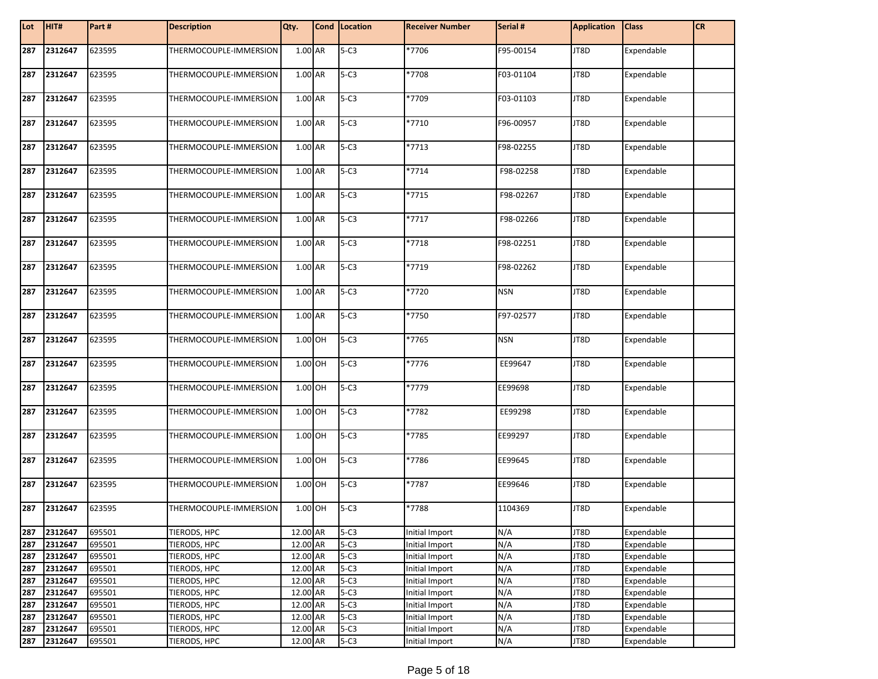| Lot | HIT#    | Part#  | <b>Description</b>     | Qty.     | Cond Location | <b>Receiver Number</b> | Serial #   | <b>Application</b> | <b>Class</b> | <b>CR</b> |
|-----|---------|--------|------------------------|----------|---------------|------------------------|------------|--------------------|--------------|-----------|
| 287 | 2312647 | 623595 | THERMOCOUPLE-IMMERSION | 1.00 AR  | $5-C3$        | *7706                  | F95-00154  | JT8D               | Expendable   |           |
| 287 | 2312647 | 623595 | THERMOCOUPLE-IMMERSION | 1.00 AR  | $5-C3$        | *7708                  | F03-01104  | JT8D               | Expendable   |           |
| 287 | 2312647 | 623595 | THERMOCOUPLE-IMMERSION | 1.00 AR  | $5-C3$        | *7709                  | F03-01103  | JT8D               | Expendable   |           |
| 287 | 2312647 | 623595 | THERMOCOUPLE-IMMERSION | 1.00 AR  | $5-C3$        | *7710                  | F96-00957  | JT8D               | Expendable   |           |
| 287 | 2312647 | 623595 | THERMOCOUPLE-IMMERSION | 1.00 AR  | $5-C3$        | *7713                  | F98-02255  | JT8D               | Expendable   |           |
| 287 | 2312647 | 623595 | THERMOCOUPLE-IMMERSION | 1.00 AR  | $5-C3$        | $*7714$                | F98-02258  | JT8D               | Expendable   |           |
| 287 | 2312647 | 623595 | THERMOCOUPLE-IMMERSION | 1.00 AR  | $5-C3$        | *7715                  | F98-02267  | JT8D               | Expendable   |           |
| 287 | 2312647 | 623595 | THERMOCOUPLE-IMMERSION | 1.00 AR  | $5-C3$        | $*7717$                | F98-02266  | JT8D               | Expendable   |           |
| 287 | 2312647 | 623595 | THERMOCOUPLE-IMMERSION | 1.00 AR  | $5-C3$        | *7718                  | F98-02251  | JT8D               | Expendable   |           |
| 287 | 2312647 | 623595 | THERMOCOUPLE-IMMERSION | 1.00 AR  | $5-C3$        | $*7719$                | F98-02262  | JT8D               | Expendable   |           |
| 287 | 2312647 | 623595 | THERMOCOUPLE-IMMERSION | 1.00 AR  | $5-C3$        | *7720                  | <b>NSN</b> | JT8D               | Expendable   |           |
| 287 | 2312647 | 623595 | THERMOCOUPLE-IMMERSION | 1.00 AR  | $5-C3$        | *7750                  | F97-02577  | JT8D               | Expendable   |           |
| 287 | 2312647 | 623595 | THERMOCOUPLE-IMMERSION | 1.00 OH  | $5-C3$        | *7765                  | <b>NSN</b> | JT8D               | Expendable   |           |
| 287 | 2312647 | 623595 | THERMOCOUPLE-IMMERSION | 1.00 OH  | $5-C3$        | *7776                  | EE99647    | JT8D               | Expendable   |           |
| 287 | 2312647 | 623595 | THERMOCOUPLE-IMMERSION | 1.00 OH  | $5-C3$        | *7779                  | EE99698    | JT8D               | Expendable   |           |
| 287 | 2312647 | 623595 | THERMOCOUPLE-IMMERSION | 1.00 OH  | $5-C3$        | *7782                  | EE99298    | JT8D               | Expendable   |           |
| 287 | 2312647 | 623595 | THERMOCOUPLE-IMMERSION | 1.00 OH  | $5-C3$        | *7785                  | EE99297    | JT8D               | Expendable   |           |
| 287 | 2312647 | 623595 | THERMOCOUPLE-IMMERSION | 1.00 OH  | $5-C3$        | *7786                  | EE99645    | JT8D               | Expendable   |           |
| 287 | 2312647 | 623595 | THERMOCOUPLE-IMMERSION | 1.00 OH  | $5-C3$        | *7787                  | EE99646    | JT8D               | Expendable   |           |
| 287 | 2312647 | 623595 | THERMOCOUPLE-IMMERSION | 1.00 OH  | $5-C3$        | *7788                  | 1104369    | JT8D               | Expendable   |           |
| 287 | 2312647 | 695501 | TIERODS, HPC           | 12.00 AR | $5-C3$        | Initial Import         | N/A        | JT8D               | Expendable   |           |
| 287 | 2312647 | 695501 | TIERODS, HPC           | 12.00 AR | $5-C3$        | Initial Import         | N/A        | JT8D               | Expendable   |           |
| 287 | 2312647 | 695501 | TIERODS, HPC           | 12.00 AR | $5-C3$        | Initial Import         | N/A        | JT8D               | Expendable   |           |
| 287 | 2312647 | 695501 | TIERODS, HPC           | 12.00 AR | $5 - C3$      | Initial Import         | N/A        | JT8D               | Expendable   |           |
| 287 | 2312647 | 695501 | TIERODS, HPC           | 12.00 AR | $5-C3$        | Initial Import         | N/A        | JT8D               | Expendable   |           |
| 287 | 2312647 | 695501 | TIERODS, HPC           | 12.00 AR | $5-C3$        | Initial Import         | N/A        | JT8D               | Expendable   |           |
| 287 | 2312647 | 695501 | TIERODS, HPC           | 12.00 AR | $5-C3$        | Initial Import         | N/A        | JT8D               | Expendable   |           |
| 287 | 2312647 | 695501 | TIERODS, HPC           | 12.00 AR | $5 - C3$      | Initial Import         | N/A        | JT8D               | Expendable   |           |
| 287 | 2312647 | 695501 | TIERODS, HPC           | 12.00 AR | $5-C3$        | Initial Import         | N/A        | JT8D               | Expendable   |           |
| 287 | 2312647 | 695501 | TIERODS, HPC           | 12.00 AR | $5-C3$        | Initial Import         | N/A        | JT8D               | Expendable   |           |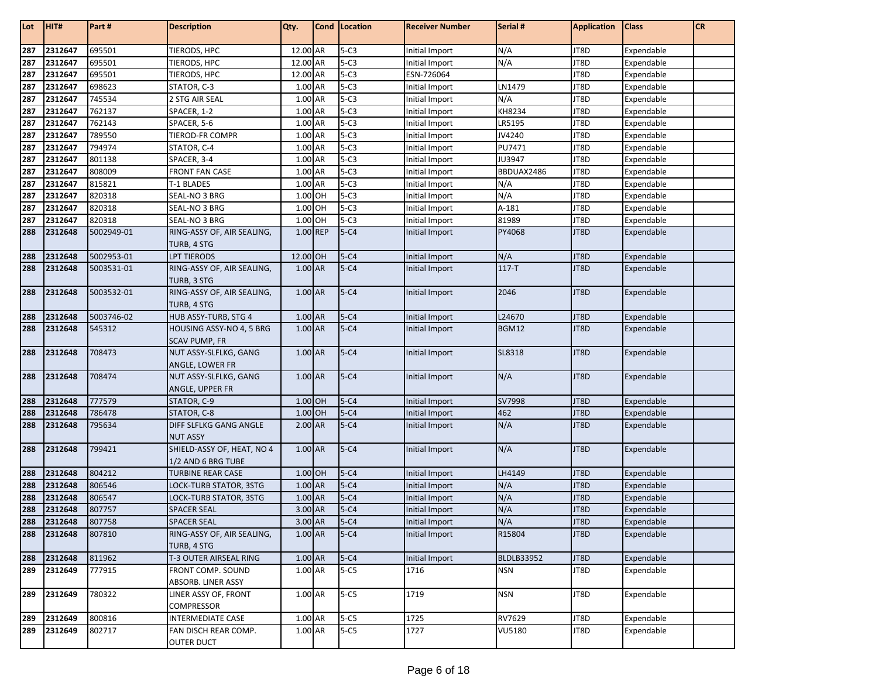| Lot        | HIT#               | Part#            | <b>Description</b>                           | Qty.                 | Cond   Location    | <b>Receiver Number</b>           | Serial #          | <b>Application</b> | <b>Class</b>             | <b>CR</b> |
|------------|--------------------|------------------|----------------------------------------------|----------------------|--------------------|----------------------------------|-------------------|--------------------|--------------------------|-----------|
|            |                    |                  | <b>TIERODS, HPC</b>                          | 12.00 AR             |                    |                                  |                   |                    |                          |           |
| 287<br>287 | 2312647            | 695501           |                                              |                      | $5-C3$<br>$5 - C3$ | Initial Import                   | N/A               | JT8D               | Expendable               |           |
| 287        | 2312647<br>2312647 | 695501<br>695501 | TIERODS, HPC<br>TIERODS, HPC                 | 12.00 AR<br>12.00 AR | $5 - C3$           | Initial Import<br>ESN-726064     | N/A               | JT8D<br>JT8D       | Expendable<br>Expendable |           |
|            | 2312647            | 698623           |                                              | 1.00 AR              | $5-C3$             |                                  | LN1479            | JT8D               |                          |           |
| 287<br>287 | 2312647            | 745534           | STATOR, C-3                                  | 1.00 AR              | $5-C3$             | Initial Import                   | N/A               | JT8D               | Expendable               |           |
|            |                    |                  | 2 STG AIR SEAL                               |                      | $5 - C3$           | Initial Import                   | KH8234            |                    | Expendable               |           |
| 287        | 2312647<br>2312647 | 762137<br>762143 | SPACER, 1-2                                  | 1.00 AR<br>1.00 AR   | $5-C3$             | Initial Import                   | LR5195            | JT8D<br>JT8D       | Expendable               |           |
| 287<br>287 | 2312647            | 789550           | SPACER, 5-6                                  | 1.00 AR              | $5-C3$             | Initial Import<br>Initial Import | JV4240            | JT8D               | Expendable               |           |
|            | 2312647            | 794974           | <b>TIEROD-FR COMPR</b><br>STATOR, C-4        | 1.00 AR              | $5 - C3$           | Initial Import                   | PU7471            | JT8D               | Expendable<br>Expendable |           |
| 287<br>287 | 2312647            | 801138           |                                              | 1.00 AR              | $5-C3$             |                                  | JU3947            | JT8D               | Expendable               |           |
| 287        | 2312647            | 808009           | SPACER, 3-4<br><b>FRONT FAN CASE</b>         | 1.00 AR              | $5-C3$             | Initial Import<br>Initial Import | BBDUAX2486        | JT8D               | Expendable               |           |
| 287        | 2312647            | 815821           | T-1 BLADES                                   | 1.00 AR              | $5-C3$             | Initial Import                   | N/A               | JT8D               | Expendable               |           |
| 287        | 2312647            | 820318           | SEAL-NO 3 BRG                                | 1.00 OH              | $5 - C3$           | Initial Import                   | N/A               | JT8D               | Expendable               |           |
| 287        | 2312647            | 820318           | SEAL-NO 3 BRG                                | 1.00 OH              | $5-C3$             | Initial Import                   | $A-181$           | JT8D               | Expendable               |           |
|            | 2312647            | 820318           | SEAL-NO 3 BRG                                | 1.00 OH              | $5 - C3$           | Initial Import                   | 81989             | JT8D               | Expendable               |           |
| 287<br>288 | 2312648            | 5002949-01       | RING-ASSY OF, AIR SEALING,                   | 1.00 REP             | $5 - C4$           | Initial Import                   | PY4068            | JT8D               | Expendable               |           |
|            |                    |                  | TURB, 4 STG                                  |                      |                    |                                  |                   |                    |                          |           |
| 288        | 2312648            | 5002953-01       | <b>LPT TIERODS</b>                           | 12.00 OH             | $5-C4$             | Initial Import                   | N/A               | JT8D               | Expendable               |           |
| 288        | 2312648            | 5003531-01       | RING-ASSY OF, AIR SEALING,                   | 1.00 AR              | $5 - C4$           | Initial Import                   | $117-T$           | JT8D               | Expendable               |           |
|            |                    |                  | TURB, 3 STG                                  |                      |                    |                                  |                   |                    |                          |           |
| 288        | 2312648            | 5003532-01       | RING-ASSY OF, AIR SEALING,                   | 1.00 AR              | $5 - C4$           | Initial Import                   | 2046              | JT8D               | Expendable               |           |
|            |                    |                  | TURB, 4 STG                                  |                      |                    |                                  |                   |                    |                          |           |
| 288        | 2312648            | 5003746-02       | HUB ASSY-TURB, STG 4                         | 1.00 AR              | $5-C4$             | Initial Import                   | L24670            | JT8D               | Expendable               |           |
| 288        | 2312648            | 545312           | HOUSING ASSY-NO 4, 5 BRG                     | 1.00 AR              | $5 - C4$           | Initial Import                   | <b>BGM12</b>      | JT8D               | Expendable               |           |
|            |                    |                  | <b>SCAV PUMP, FR</b>                         |                      |                    |                                  |                   |                    |                          |           |
| 288        | 2312648            | 708473           | NUT ASSY-SLFLKG, GANG                        | 1.00 AR              | $5 - C4$           | Initial Import                   | SL8318            | JT8D               | Expendable               |           |
|            |                    |                  | ANGLE, LOWER FR                              |                      |                    |                                  |                   |                    |                          |           |
| 288        | 2312648            | 708474           | NUT ASSY-SLFLKG, GANG                        | 1.00 AR              | $5 - C4$           | Initial Import                   | N/A               | JT8D               | Expendable               |           |
|            |                    |                  | ANGLE, UPPER FR                              |                      |                    |                                  |                   |                    |                          |           |
| 288        | 2312648            | 777579           | STATOR, C-9                                  | 1.00 OH              | $5-C4$             | Initial Import                   | SV7998            | JT8D               | Expendable               |           |
| 288        | 2312648            | 786478           | STATOR, C-8                                  | 1.00 OH              | $5 - C4$           | Initial Import                   | 462               | JT8D               | Expendable               |           |
| 288        | 2312648            | 795634           | DIFF SLFLKG GANG ANGLE                       | $2.00$ AR            | $5 - C4$           | Initial Import                   | N/A               | JT8D               | Expendable               |           |
|            |                    |                  | <b>NUT ASSY</b>                              |                      |                    |                                  |                   |                    |                          |           |
| 288        | 2312648            | 799421           | SHIELD-ASSY OF, HEAT, NO 4                   | 1.00 AR              | $5-C4$             | Initial Import                   | N/A               | JT8D               | Expendable               |           |
|            |                    |                  | 1/2 AND 6 BRG TUBE                           |                      |                    |                                  |                   |                    |                          |           |
| 288        | 2312648            | 804212           | <b>TURBINE REAR CASE</b>                     | 1.00 OH              | $5-C4$             | Initial Import                   | LH4149            | JT8D               | Expendable               |           |
| 288        | 2312648            | 806546           | LOCK-TURB STATOR, 3STG                       | 1.00 AR              | $5 - C4$           | Initial Import                   | N/A               | JT8D               | Expendable               |           |
| 288        | 2312648            | 806547           | LOCK-TURB STATOR, 3STG                       | 1.00 AR              | $5-C4$             | Initial Import                   | N/A               | JT8D               | Expendable               |           |
| 288        | 2312648            | 807757           | <b>SPACER SEAL</b>                           | 3.00 AR              | $5 - C4$           | Initial Import                   | N/A               | JT8D               | Expendable               |           |
| 288<br>288 | 2312648            | 807758<br>807810 | <b>SPACER SEAL</b>                           | 3.00 AR<br>$1.00$ AR | $5 - C4$           | Initial Import                   | N/A               | JT8D               | Expendable               |           |
|            | 2312648            |                  | RING-ASSY OF, AIR SEALING,                   |                      | $5 - C4$           | Initial Import                   | R15804            | JT8D               | Expendable               |           |
| 288        | 2312648            | 811962           | TURB, 4 STG<br><b>T-3 OUTER AIRSEAL RING</b> | 1.00 AR              | $5-C4$             | Initial Import                   | <b>BLDLB33952</b> | JT8D               | Expendable               |           |
| 289        | 2312649            | 777915           | FRONT COMP. SOUND                            | 1.00 AR              | $5-C5$             | 1716                             | <b>NSN</b>        | JT8D               | Expendable               |           |
|            |                    |                  | ABSORB. LINER ASSY                           |                      |                    |                                  |                   |                    |                          |           |
| 289        | 2312649            | 780322           | LINER ASSY OF, FRONT                         | 1.00 AR              | $5-C5$             | 1719                             | <b>NSN</b>        | JT8D               | Expendable               |           |
|            |                    |                  | COMPRESSOR                                   |                      |                    |                                  |                   |                    |                          |           |
| 289        | 2312649            | 800816           | <b>INTERMEDIATE CASE</b>                     | 1.00 AR              | $5-C5$             | 1725                             | RV7629            | JT8D               | Expendable               |           |
| 289        | 2312649            | 802717           | FAN DISCH REAR COMP.                         | 1.00 AR              | $5-C5$             | 1727                             | <b>VU5180</b>     | JT8D               | Expendable               |           |
|            |                    |                  | <b>OUTER DUCT</b>                            |                      |                    |                                  |                   |                    |                          |           |
|            |                    |                  |                                              |                      |                    |                                  |                   |                    |                          |           |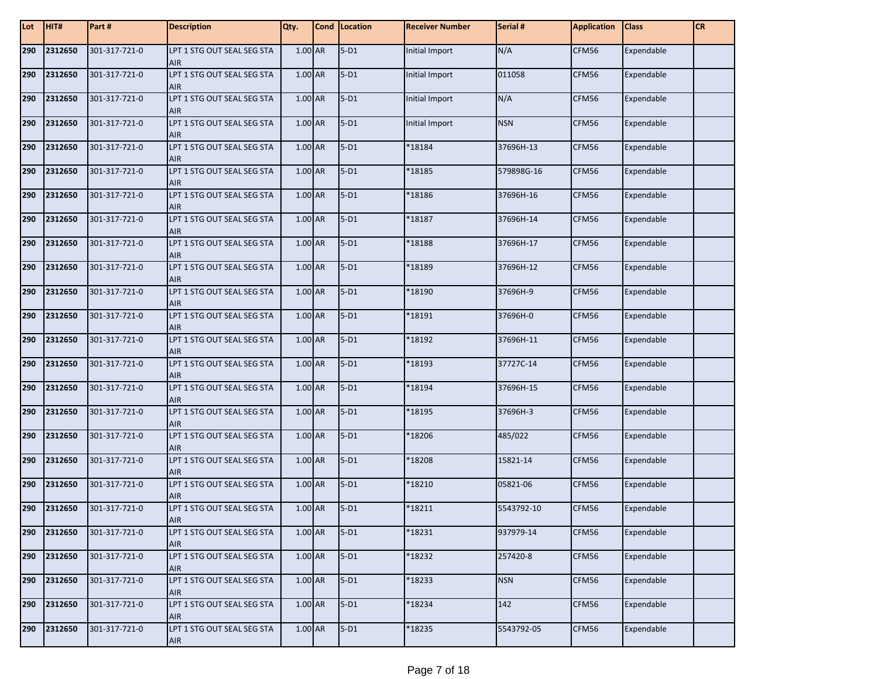| Lot | HIT#        | Part#         | <b>Description</b>                       | Qty.    | Cond | Location | <b>Receiver Number</b> | Serial #   | <b>Application</b> | <b>Class</b> | <b>CR</b> |
|-----|-------------|---------------|------------------------------------------|---------|------|----------|------------------------|------------|--------------------|--------------|-----------|
| 290 | 2312650     | 301-317-721-0 | LPT 1 STG OUT SEAL SEG STA<br><b>AIR</b> | 1.00 AR |      | $5-D1$   | Initial Import         | N/A        | CFM56              | Expendable   |           |
| 290 | 2312650     | 301-317-721-0 | LPT 1 STG OUT SEAL SEG STA<br>AIR        | 1.00 AR |      | $5-D1$   | Initial Import         | 011058     | CFM56              | Expendable   |           |
| 290 | 2312650     | 301-317-721-0 | LPT 1 STG OUT SEAL SEG STA<br><b>AIR</b> | 1.00 AR |      | $5-D1$   | Initial Import         | N/A        | CFM56              | Expendable   |           |
| 290 | 2312650     | 301-317-721-0 | LPT 1 STG OUT SEAL SEG STA<br><b>AIR</b> | 1.00 AR |      | $5-D1$   | Initial Import         | <b>NSN</b> | CFM56              | Expendable   |           |
| 290 | 2312650     | 301-317-721-0 | LPT 1 STG OUT SEAL SEG STA<br><b>AIR</b> | 1.00 AR |      | $5-D1$   | *18184                 | 37696H-13  | CFM56              | Expendable   |           |
| 290 | 2312650     | 301-317-721-0 | LPT 1 STG OUT SEAL SEG STA<br><b>AIR</b> | 1.00 AR |      | $5-D1$   | *18185                 | 579898G-16 | CFM56              | Expendable   |           |
| 290 | 2312650     | 301-317-721-0 | LPT 1 STG OUT SEAL SEG STA<br><b>AIR</b> | 1.00 AR |      | $5-D1$   | *18186                 | 37696H-16  | CFM56              | Expendable   |           |
| 290 | 2312650     | 301-317-721-0 | LPT 1 STG OUT SEAL SEG STA<br><b>AIR</b> | 1.00 AR |      | $5-D1$   | *18187                 | 37696H-14  | CFM56              | Expendable   |           |
| 290 | 2312650     | 301-317-721-0 | LPT 1 STG OUT SEAL SEG STA<br><b>AIR</b> | 1.00 AR |      | $5-D1$   | *18188                 | 37696H-17  | CFM56              | Expendable   |           |
| 290 | 2312650     | 301-317-721-0 | LPT 1 STG OUT SEAL SEG STA<br><b>AIR</b> | 1.00 AR |      | $5-D1$   | *18189                 | 37696H-12  | CFM56              | Expendable   |           |
| 290 | 2312650     | 301-317-721-0 | LPT 1 STG OUT SEAL SEG STA<br><b>AIR</b> | 1.00 AR |      | $5-D1$   | *18190                 | 37696H-9   | CFM56              | Expendable   |           |
| 290 | 2312650     | 301-317-721-0 | LPT 1 STG OUT SEAL SEG STA<br><b>AIR</b> | 1.00 AR |      | $5-D1$   | *18191                 | 37696H-0   | CFM56              | Expendable   |           |
| 290 | 2312650     | 301-317-721-0 | LPT 1 STG OUT SEAL SEG STA<br><b>AIR</b> | 1.00 AR |      | $5-D1$   | *18192                 | 37696H-11  | CFM56              | Expendable   |           |
| 290 | 2312650     | 301-317-721-0 | LPT 1 STG OUT SEAL SEG STA<br><b>AIR</b> | 1.00 AR |      | $5-D1$   | \$18193                | 37727C-14  | CFM56              | Expendable   |           |
| 290 | 2312650     | 301-317-721-0 | LPT 1 STG OUT SEAL SEG STA<br><b>AIR</b> | 1.00 AR |      | $5-D1$   | *18194                 | 37696H-15  | CFM56              | Expendable   |           |
| 290 | 2312650     | 301-317-721-0 | LPT 1 STG OUT SEAL SEG STA<br><b>AIR</b> | 1.00 AR |      | $5-D1$   | *18195                 | 37696H-3   | CFM56              | Expendable   |           |
| 290 | 2312650     | 301-317-721-0 | LPT 1 STG OUT SEAL SEG STA<br><b>AIR</b> | 1.00 AR |      | $5-D1$   | *18206                 | 485/022    | CFM56              | Expendable   |           |
| 290 | 2312650     | 301-317-721-0 | LPT 1 STG OUT SEAL SEG STA<br><b>AIR</b> | 1.00 AR |      | $5-D1$   | *18208                 | 15821-14   | CFM56              | Expendable   |           |
| 290 | 2312650     | 301-317-721-0 | LPT 1 STG OUT SEAL SEG STA<br><b>AIR</b> | 1.00 AR |      | $5-D1$   | *18210                 | 05821-06   | CFM56              | Expendable   |           |
| 290 | 2312650     | 301-317-721-0 | LPT 1 STG OUT SEAL SEG STA<br><b>AIR</b> | 1.00 AR |      | $5-D1$   | 18211                  | 5543792-10 | CFM56              | Expendable   |           |
|     | 290 2312650 | 301-317-721-0 | LPT 1 STG OUT SEAL SEG STA<br>AIR        | 1.00 AR |      | $5-D1$   | *18231                 | 937979-14  | CFM56              | Expendable   |           |
| 290 | 2312650     | 301-317-721-0 | LPT 1 STG OUT SEAL SEG STA<br>AIR        | 1.00 AR |      | $5-D1$   | *18232                 | 257420-8   | CFM56              | Expendable   |           |
| 290 | 2312650     | 301-317-721-0 | LPT 1 STG OUT SEAL SEG STA<br>AIR        | 1.00 AR |      | $5-D1$   | *18233                 | <b>NSN</b> | CFM56              | Expendable   |           |
| 290 | 2312650     | 301-317-721-0 | LPT 1 STG OUT SEAL SEG STA<br>AIR        | 1.00 AR |      | $5-D1$   | *18234                 | 142        | CFM56              | Expendable   |           |
| 290 | 2312650     | 301-317-721-0 | LPT 1 STG OUT SEAL SEG STA<br>AIR        | 1.00 AR |      | $5-D1$   | *18235                 | 5543792-05 | CFM56              | Expendable   |           |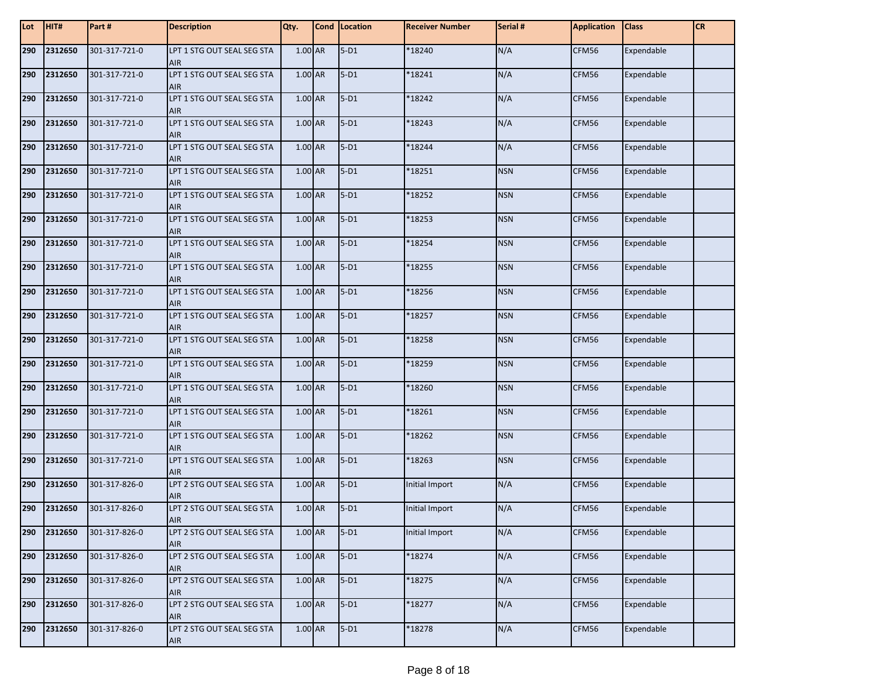| Lot | HIT#        | Part #        | <b>Description</b>                       | Qty.      | Cond Location | <b>Receiver Number</b> | Serial #   | <b>Application</b> | <b>Class</b> | <b>CR</b> |
|-----|-------------|---------------|------------------------------------------|-----------|---------------|------------------------|------------|--------------------|--------------|-----------|
| 290 | 2312650     | 301-317-721-0 | LPT 1 STG OUT SEAL SEG STA<br><b>AIR</b> | 1.00 AR   | $5-D1$        | *18240                 | N/A        | CFM56              | Expendable   |           |
| 290 | 2312650     | 301-317-721-0 | LPT 1 STG OUT SEAL SEG STA<br><b>AIR</b> | 1.00 AR   | $5-D1$        | *18241                 | N/A        | CFM56              | Expendable   |           |
| 290 | 2312650     | 301-317-721-0 | LPT 1 STG OUT SEAL SEG STA<br><b>AIR</b> | 1.00 AR   | $5-D1$        | *18242                 | N/A        | CFM56              | Expendable   |           |
| 290 | 2312650     | 301-317-721-0 | LPT 1 STG OUT SEAL SEG STA<br><b>AIR</b> | 1.00 AR   | $5-D1$        | *18243                 | N/A        | CFM56              | Expendable   |           |
| 290 | 2312650     | 301-317-721-0 | LPT 1 STG OUT SEAL SEG STA<br><b>AIR</b> | 1.00 AR   | $5-D1$        | *18244                 | N/A        | CFM56              | Expendable   |           |
| 290 | 2312650     | 301-317-721-0 | LPT 1 STG OUT SEAL SEG STA<br><b>AIR</b> | 1.00 AR   | $5-D1$        | *18251                 | <b>NSN</b> | CFM56              | Expendable   |           |
| 290 | 2312650     | 301-317-721-0 | LPT 1 STG OUT SEAL SEG STA<br><b>AIR</b> | 1.00 AR   | $5-D1$        | *18252                 | <b>NSN</b> | CFM56              | Expendable   |           |
| 290 | 2312650     | 301-317-721-0 | LPT 1 STG OUT SEAL SEG STA<br><b>AIR</b> | 1.00 AR   | $5-D1$        | *18253                 | <b>NSN</b> | CFM56              | Expendable   |           |
| 290 | 2312650     | 301-317-721-0 | LPT 1 STG OUT SEAL SEG STA<br><b>AIR</b> | 1.00 AR   | $5-D1$        | *18254                 | <b>NSN</b> | CFM56              | Expendable   |           |
| 290 | 2312650     | 301-317-721-0 | LPT 1 STG OUT SEAL SEG STA<br><b>AIR</b> | 1.00 AR   | $5-D1$        | *18255                 | <b>NSN</b> | CFM56              | Expendable   |           |
| 290 | 2312650     | 301-317-721-0 | LPT 1 STG OUT SEAL SEG STA<br><b>AIR</b> | 1.00 AR   | $5-D1$        | *18256                 | <b>NSN</b> | CFM56              | Expendable   |           |
| 290 | 2312650     | 301-317-721-0 | LPT 1 STG OUT SEAL SEG STA<br><b>AIR</b> | 1.00 AR   | $5-D1$        | *18257                 | <b>NSN</b> | CFM56              | Expendable   |           |
| 290 | 2312650     | 301-317-721-0 | LPT 1 STG OUT SEAL SEG STA<br><b>AIR</b> | 1.00 AR   | $5-D1$        | *18258                 | <b>NSN</b> | CFM56              | Expendable   |           |
| 290 | 2312650     | 301-317-721-0 | LPT 1 STG OUT SEAL SEG STA<br><b>AIR</b> | 1.00 AR   | $5-D1$        | *18259                 | <b>NSN</b> | CFM56              | Expendable   |           |
| 290 | 2312650     | 301-317-721-0 | LPT 1 STG OUT SEAL SEG STA<br><b>AIR</b> | 1.00 AR   | $5-D1$        | *18260                 | <b>NSN</b> | CFM56              | Expendable   |           |
| 290 | 2312650     | 301-317-721-0 | LPT 1 STG OUT SEAL SEG STA<br><b>AIR</b> | 1.00 AR   | $5-D1$        | $*18261$               | <b>NSN</b> | CFM56              | Expendable   |           |
| 290 | 2312650     | 301-317-721-0 | LPT 1 STG OUT SEAL SEG STA<br><b>AIR</b> | 1.00 AR   | $5-D1$        | *18262                 | <b>NSN</b> | CFM56              | Expendable   |           |
| 290 | 2312650     | 301-317-721-0 | LPT 1 STG OUT SEAL SEG STA<br><b>AIR</b> | 1.00 AR   | $5-D1$        | *18263                 | <b>NSN</b> | CFM56              | Expendable   |           |
| 290 | 2312650     | 301-317-826-0 | LPT 2 STG OUT SEAL SEG STA<br><b>AIR</b> | 1.00 AR   | $5-D1$        | Initial Import         | N/A        | CFM56              | Expendable   |           |
| 290 | 2312650     | 301-317-826-0 | LPT 2 STG OUT SEAL SEG STA<br><b>AIR</b> | 1.00 AR   | $5-D1$        | Initial Import         | N/A        | CFM56              | Expendable   |           |
|     | 290 2312650 | 301-317-826-0 | LPT 2 STG OUT SEAL SEG STA<br><b>AIR</b> | 1.00 AR   | $5-D1$        | Initial Import         | N/A        | CFM56              | Expendable   |           |
| 290 | 2312650     | 301-317-826-0 | LPT 2 STG OUT SEAL SEG STA<br>AIR        | 1.00 AR   | $5-D1$        | *18274                 | N/A        | CFM56              | Expendable   |           |
| 290 | 2312650     | 301-317-826-0 | LPT 2 STG OUT SEAL SEG STA<br><b>AIR</b> | $1.00$ AR | $5-D1$        | *18275                 | N/A        | CFM56              | Expendable   |           |
| 290 | 2312650     | 301-317-826-0 | LPT 2 STG OUT SEAL SEG STA<br>AIR        | 1.00 AR   | $5-D1$        | *18277                 | N/A        | CFM56              | Expendable   |           |
| 290 | 2312650     | 301-317-826-0 | LPT 2 STG OUT SEAL SEG STA<br>AIR        | $1.00$ AR | $5-D1$        | *18278                 | N/A        | CFM56              | Expendable   |           |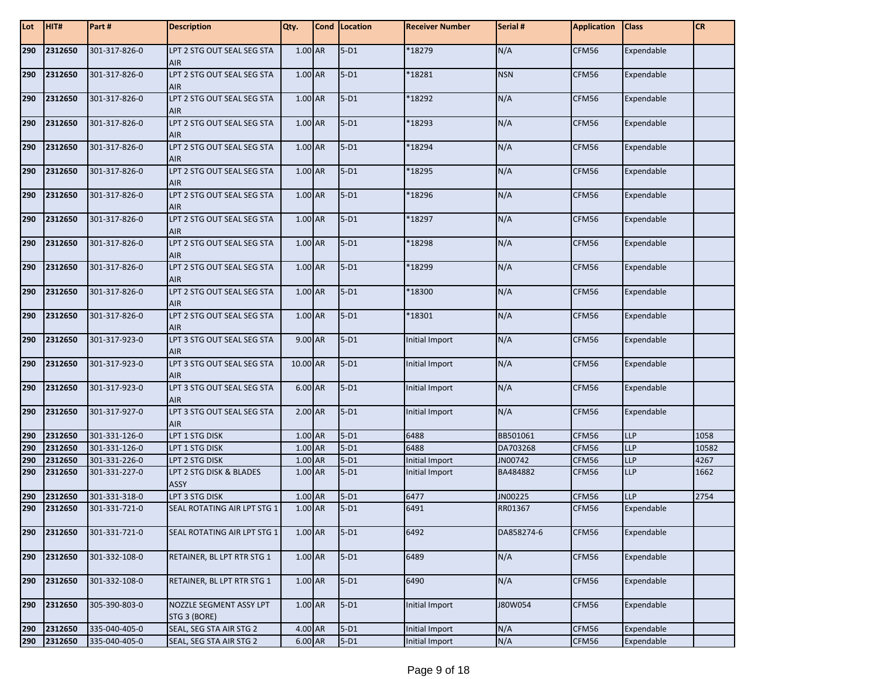| Lot | HIT#    | Part#         | <b>Description</b>                       | Qty.      | Cond Location | <b>Receiver Number</b> | Serial #   | <b>Application</b> | <b>Class</b> | <b>CR</b> |
|-----|---------|---------------|------------------------------------------|-----------|---------------|------------------------|------------|--------------------|--------------|-----------|
| 290 | 2312650 | 301-317-826-0 | LPT 2 STG OUT SEAL SEG STA<br><b>AIR</b> | 1.00 AR   | $5-D1$        | $*18279$               | N/A        | CFM56              | Expendable   |           |
| 290 | 2312650 | 301-317-826-0 | LPT 2 STG OUT SEAL SEG STA<br><b>AIR</b> | 1.00 AR   | $5-D1$        | *18281                 | <b>NSN</b> | CFM56              | Expendable   |           |
| 290 | 2312650 | 301-317-826-0 | LPT 2 STG OUT SEAL SEG STA<br><b>AIR</b> | 1.00 AR   | $5-D1$        | *18292                 | N/A        | CFM56              | Expendable   |           |
| 290 | 2312650 | 301-317-826-0 | LPT 2 STG OUT SEAL SEG STA<br><b>AIR</b> | 1.00 AR   | $5-D1$        | *18293                 | N/A        | CFM56              | Expendable   |           |
| 290 | 2312650 | 301-317-826-0 | LPT 2 STG OUT SEAL SEG STA<br><b>AIR</b> | 1.00 AR   | $5-D1$        | *18294                 | N/A        | CFM56              | Expendable   |           |
| 290 | 2312650 | 301-317-826-0 | LPT 2 STG OUT SEAL SEG STA<br><b>AIR</b> | 1.00 AR   | $5-D1$        | *18295                 | N/A        | CFM56              | Expendable   |           |
| 290 | 2312650 | 301-317-826-0 | LPT 2 STG OUT SEAL SEG STA<br><b>AIR</b> | 1.00 AR   | $5-D1$        | *18296                 | N/A        | CFM56              | Expendable   |           |
| 290 | 2312650 | 301-317-826-0 | LPT 2 STG OUT SEAL SEG STA<br><b>AIR</b> | 1.00 AR   | $5-D1$        | *18297                 | N/A        | CFM56              | Expendable   |           |
| 290 | 2312650 | 301-317-826-0 | LPT 2 STG OUT SEAL SEG STA<br><b>AIR</b> | 1.00 AR   | $5-D1$        | *18298                 | N/A        | CFM56              | Expendable   |           |
| 290 | 2312650 | 301-317-826-0 | LPT 2 STG OUT SEAL SEG STA<br><b>AIR</b> | 1.00 AR   | $5-D1$        | *18299                 | N/A        | CFM56              | Expendable   |           |
| 290 | 2312650 | 301-317-826-0 | LPT 2 STG OUT SEAL SEG STA<br><b>AIR</b> | 1.00 AR   | $5-D1$        | *18300                 | N/A        | CFM56              | Expendable   |           |
| 290 | 2312650 | 301-317-826-0 | LPT 2 STG OUT SEAL SEG STA<br><b>AIR</b> | 1.00 AR   | $5-D1$        | *18301                 | N/A        | CFM56              | Expendable   |           |
| 290 | 2312650 | 301-317-923-0 | LPT 3 STG OUT SEAL SEG STA<br><b>AIR</b> | 9.00 AR   | $5-D1$        | Initial Import         | N/A        | CFM56              | Expendable   |           |
| 290 | 2312650 | 301-317-923-0 | LPT 3 STG OUT SEAL SEG STA<br><b>AIR</b> | 10.00 AR  | $5-D1$        | Initial Import         | N/A        | CFM56              | Expendable   |           |
| 290 | 2312650 | 301-317-923-0 | LPT 3 STG OUT SEAL SEG STA<br><b>AIR</b> | 6.00 AR   | $5-D1$        | Initial Import         | N/A        | CFM56              | Expendable   |           |
| 290 | 2312650 | 301-317-927-0 | LPT 3 STG OUT SEAL SEG STA<br><b>AIR</b> | 2.00 AR   | $5-D1$        | Initial Import         | N/A        | CFM56              | Expendable   |           |
| 290 | 2312650 | 301-331-126-0 | LPT 1 STG DISK                           | 1.00 AR   | $5-D1$        | 6488                   | BB501061   | CFM56              | <b>LLP</b>   | 1058      |
| 290 | 2312650 | 301-331-126-0 | LPT 1 STG DISK                           | 1.00 AR   | $5-D1$        | 6488                   | DA703268   | CFM56              | <b>LLP</b>   | 10582     |
| 290 | 2312650 | 301-331-226-0 | LPT 2 STG DISK                           | 1.00 AR   | $5-D1$        | Initial Import         | JN00742    | CFM56              | <b>LLP</b>   | 4267      |
| 290 | 2312650 | 301-331-227-0 | LPT 2 STG DISK & BLADES<br><b>ASSY</b>   | 1.00 AR   | $5-D1$        | Initial Import         | BA484882   | CFM56              | <b>LLP</b>   | 1662      |
| 290 | 2312650 | 301-331-318-0 | LPT 3 STG DISK                           | 1.00 AR   | $5-D1$        | 6477                   | JN00225    | CFM56              | <b>LLP</b>   | 2754      |
| 290 | 2312650 | 301-331-721-0 | SEAL ROTATING AIR LPT STG 1              | 1.00 AR   | $5-D1$        | 6491                   | RR01367    | CFM56              | Expendable   |           |
| 290 | 2312650 | 301-331-721-0 | SEAL ROTATING AIR LPT STG 1              | 1.00 AR   | $5-D1$        | 6492                   | DA858274-6 | CFM56              | Expendable   |           |
| 290 | 2312650 | 301-332-108-0 | RETAINER, BL LPT RTR STG 1               | 1.00 AR   | $5-D1$        | 6489                   | N/A        | CFM56              | Expendable   |           |
| 290 | 2312650 | 301-332-108-0 | RETAINER, BL LPT RTR STG 1               | 1.00 AR   | $5-D1$        | 6490                   | N/A        | CFM56              | Expendable   |           |
| 290 | 2312650 | 305-390-803-0 | NOZZLE SEGMENT ASSY LPT<br>STG 3 (BORE)  | 1.00 AR   | $5-D1$        | Initial Import         | J80W054    | CFM56              | Expendable   |           |
| 290 | 2312650 | 335-040-405-0 | SEAL, SEG STA AIR STG 2                  | 4.00 AR   | $5-D1$        | Initial Import         | N/A        | CFM56              | Expendable   |           |
| 290 | 2312650 | 335-040-405-0 | SEAL, SEG STA AIR STG 2                  | $6.00$ AR | $5-D1$        | Initial Import         | N/A        | CFM56              | Expendable   |           |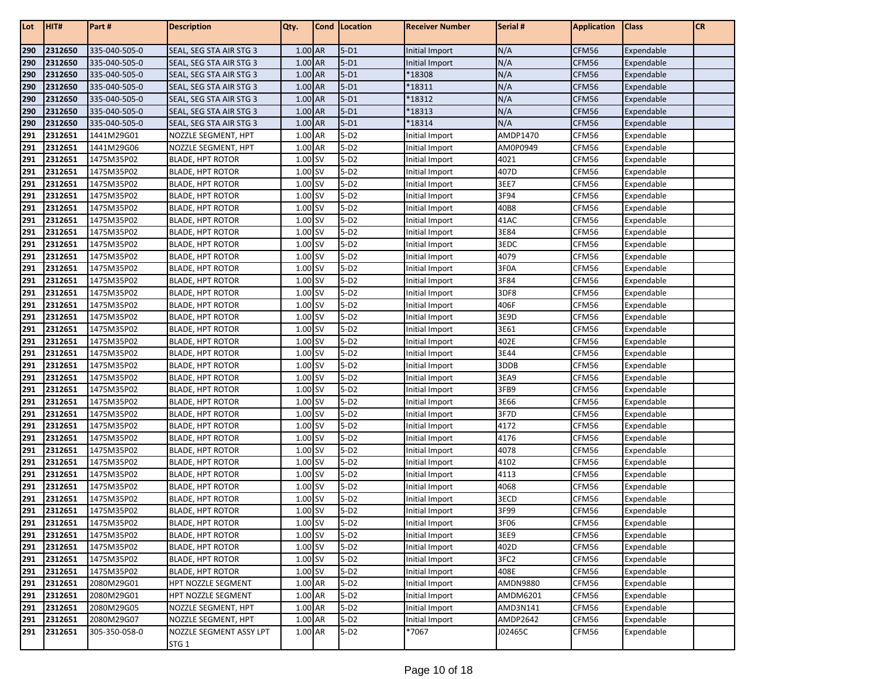| Lot        | HIT#               | Part#                    | <b>Description</b>                                 | Qty.               | Cond   Location  | <b>Receiver Number</b>           | Serial #                 | <b>Application</b> | <b>Class</b>             | <b>CR</b> |
|------------|--------------------|--------------------------|----------------------------------------------------|--------------------|------------------|----------------------------------|--------------------------|--------------------|--------------------------|-----------|
| 290        | 2312650            | 335-040-505-0            | SEAL, SEG STA AIR STG 3                            | 1.00 AR            | $5-D1$           | Initial Import                   | N/A                      | CFM56              | Expendable               |           |
| 290        | 2312650            | 335-040-505-0            | SEAL, SEG STA AIR STG 3                            | 1.00 AR            | $5-D1$           | Initial Import                   | N/A                      | CFM56              | Expendable               |           |
| 290        | 2312650            | 335-040-505-0            | SEAL, SEG STA AIR STG 3                            | 1.00 AR            | $5-D1$           | *18308                           | N/A                      | CFM56              | Expendable               |           |
| 290        | 2312650            | 335-040-505-0            | SEAL, SEG STA AIR STG 3                            | 1.00 AR            | $5-D1$           | *18311                           | N/A                      | CFM56              | Expendable               |           |
| 290        | 2312650            | 335-040-505-0            | SEAL, SEG STA AIR STG 3                            | 1.00 AR            | $5-D1$           | *18312                           | N/A                      | CFM56              | Expendable               |           |
| 290        | 2312650            | 335-040-505-0            | SEAL, SEG STA AIR STG 3                            | 1.00 AR            | $5-D1$           | *18313                           | N/A                      | CFM56              | Expendable               |           |
| 290        | 2312650            | 335-040-505-0            | SEAL, SEG STA AIR STG 3                            | 1.00 AR            | $5-D1$           | *18314                           | N/A                      | CFM56              | Expendable               |           |
| 291        | 2312651            | 1441M29G01               | NOZZLE SEGMENT, HPT                                | 1.00 AR            | $5-D2$           | Initial Import                   | AMDP1470                 | CFM56              | Expendable               |           |
| 291        | 2312651            | 1441M29G06               | NOZZLE SEGMENT, HPT                                | 1.00 AR            | $5-D2$           | Initial Import                   | AM0P0949                 | CFM56              | Expendable               |           |
| 291        | 2312651            | 1475M35P02               | <b>BLADE, HPT ROTOR</b>                            | 1.00 SV            | $5-D2$           | Initial Import                   | 4021                     | CFM56              | Expendable               |           |
| 291        | 2312651            | 1475M35P02               | <b>BLADE, HPT ROTOR</b>                            | 1.00 SV            | $5-D2$           | Initial Import                   | 407D                     | CFM56              | Expendable               |           |
| 291        | 2312651            | 1475M35P02               | <b>BLADE, HPT ROTOR</b>                            | 1.00 SV            | $5-D2$           | Initial Import                   | 3EE7                     | CFM56              | Expendable               |           |
| 291        | 2312651            | 1475M35P02               | <b>BLADE, HPT ROTOR</b>                            | 1.00 SV            | $5-D2$           | Initial Import                   | 3F94                     | CFM56              | Expendable               |           |
| 291        | 2312651            | 1475M35P02               | <b>BLADE, HPT ROTOR</b>                            | 1.00 SV            | $5-D2$           | Initial Import                   | 40B8                     | CFM56              | Expendable               |           |
| 291        | 2312651            | 1475M35P02               | <b>BLADE, HPT ROTOR</b>                            | 1.00 SV            | $5-D2$           | Initial Import                   | 41AC                     | CFM56              | Expendable               |           |
| 291        | 2312651            | 1475M35P02               | <b>BLADE, HPT ROTOR</b>                            | 1.00 SV            | $5-D2$           | Initial Import                   | 3E84                     | CFM56              | Expendable               |           |
| 291        | 2312651            | 1475M35P02               | <b>BLADE, HPT ROTOR</b>                            | 1.00 SV            | $5-D2$           | Initial Import                   | 3EDC                     | CFM56              | Expendable               |           |
| 291        | 2312651            | 1475M35P02               | <b>BLADE, HPT ROTOR</b>                            | 1.00 SV            | $5-D2$           | Initial Import                   | 4079                     | CFM56              | Expendable               |           |
| 291        | 2312651            | 1475M35P02               | <b>BLADE, HPT ROTOR</b>                            | 1.00 SV            | $5-D2$           | Initial Import                   | 3F0A                     | CFM56              | Expendable               |           |
| 291        | 2312651            | 1475M35P02               | <b>BLADE, HPT ROTOR</b>                            | 1.00 SV            | $5-D2$           | Initial Import                   | 3F84                     | CFM56              | Expendable               |           |
| 291        | 2312651            | 1475M35P02               | <b>BLADE, HPT ROTOR</b>                            | 1.00 SV            | $5-D2$           | Initial Import                   | 3DF8                     | CFM56              | Expendable               |           |
| 291        | 2312651            | 1475M35P02               | <b>BLADE, HPT ROTOR</b>                            | 1.00 SV            | $5-D2$           | Initial Import                   | 406F                     | CFM56              | Expendable               |           |
| 291        | 2312651            | 1475M35P02               | <b>BLADE, HPT ROTOR</b>                            | 1.00 SV            | $5-D2$           | Initial Import                   | 3E9D                     | CFM56              | Expendable               |           |
| 291        | 2312651            | 1475M35P02               | <b>BLADE, HPT ROTOR</b>                            | 1.00 SV            | $5-D2$           | Initial Import                   | 3E61                     | CFM56              | Expendable               |           |
| 291        | 2312651            | 1475M35P02               | <b>BLADE, HPT ROTOR</b>                            | 1.00S              | $5-D2$           | Initial Import                   | 402E                     | CFM56              | Expendable               |           |
| 291        | 2312651            | 1475M35P02               | <b>BLADE, HPT ROTOR</b>                            | 1.00 SV            | $5-D2$           | Initial Import                   | 3E44                     | CFM56              | Expendable               |           |
| 291        | 2312651            | 1475M35P02               | <b>BLADE, HPT ROTOR</b>                            | 1.00 SV            | $5-D2$           | Initial Import                   | 3DDB                     | CFM56              | Expendable               |           |
| 291        | 2312651            | 1475M35P02               | <b>BLADE, HPT ROTOR</b>                            | 1.00 SV            | $5-D2$           | Initial Import                   | 3EA9                     | CFM56              | Expendable               |           |
| 291        | 2312651            | 1475M35P02               | <b>BLADE, HPT ROTOR</b>                            | 1.00 SV            | $5-D2$           | Initial Import                   | 3FB9                     | CFM56              | Expendable               |           |
| 291        | 2312651            | 1475M35P02               | <b>BLADE, HPT ROTOR</b>                            | 1.00 SV            | $5-D2$           | Initial Import                   | 3E66                     | CFM56              | Expendable               |           |
| 291        | 2312651            | 1475M35P02               | <b>BLADE, HPT ROTOR</b>                            | 1.00 SV            | $5-D2$           | Initial Import                   | 3F7D                     | CFM56              | Expendable               |           |
| 291        | 2312651            | 1475M35P02               | <b>BLADE, HPT ROTOR</b>                            | 1.00 SV            | $5-D2$           | Initial Import                   | 4172                     | CFM56              | Expendable               |           |
| 291        | 2312651            | 1475M35P02               | <b>BLADE, HPT ROTOR</b>                            | 1.00 SV            | $5-D2$           | Initial Import                   | 4176                     | CFM56              | Expendable               |           |
| 291        | 2312651            | 1475M35P02               | <b>BLADE, HPT ROTOR</b>                            | 1.00 SV            | $5-D2$           | Initial Import                   | 4078                     | CFM56              | Expendable               |           |
| 291        | 2312651            | 1475M35P02               | <b>BLADE, HPT ROTOR</b>                            | 1.00 SV            | $5-D2$           | Initial Import                   | 4102                     | CFM56              | Expendable               |           |
| 291        | 2312651            | 1475M35P02               | <b>BLADE, HPT ROTOR</b>                            | 1.00 SV            | $5-D2$           | Initial Import                   | 4113                     | CFM56              | Expendable               |           |
| 291        | 2312651            | 1475M35P02               | <b>BLADE, HPT ROTOR</b>                            | 1.00 SV            | $5-D2$           | Initial Import                   | 4068                     | CFM56              | Expendable               |           |
| 291        | 2312651            | 1475M35P02               | BLADE, HPT ROTOR                                   | 1.00 SV            | $5-D2$           | Initial Import                   | 3ECD                     | CFM56              | Expendable               |           |
| 291        | 2312651            | 1475M35P02               | <b>BLADE, HPT ROTOR</b>                            | 1.00 SV            | $5-D2$           | Initial Import                   | 3F99                     | CFM56              | Expendable               |           |
| 291<br>291 | 2312651            | 1475M35P02               | <b>BLADE, HPT ROTOR</b>                            | 1.00 SV            | $5-D2$           | Initial Import                   | 3F06                     | CFM56              | Expendable               |           |
| 291        | 2312651<br>2312651 | 1475M35P02<br>1475M35P02 | <b>BLADE, HPT ROTOR</b><br><b>BLADE, HPT ROTOR</b> | 1.00 SV<br>1.00 SV | $5-D2$           | Initial Import                   | 3EE9                     | CFM56              | Expendable<br>Expendable |           |
|            |                    |                          |                                                    |                    | $5-D2$           | Initial Import                   | 402D                     | CFM56              |                          |           |
| 291<br>291 | 2312651<br>2312651 | 1475M35P02               | <b>BLADE, HPT ROTOR</b>                            | 1.00 SV            | $5-D2$<br>$5-D2$ | Initial Import                   | 3FC <sub>2</sub><br>408E | CFM56              | Expendable               |           |
| 291        | 2312651            | 1475M35P02<br>2080M29G01 | BLADE, HPT ROTOR<br>HPT NOZZLE SEGMENT             | 1.00 SV<br>1.00 AR | $5-D2$           | Initial Import<br>Initial Import | AMDN9880                 | CFM56<br>CFM56     | Expendable<br>Expendable |           |
|            |                    |                          | HPT NOZZLE SEGMENT                                 |                    | $5-D2$           |                                  |                          |                    |                          |           |
| 291<br>291 | 2312651<br>2312651 | 2080M29G01<br>2080M29G05 | NOZZLE SEGMENT, HPT                                | 1.00 AR<br>1.00 AR | $5-D2$           | Initial Import<br>Initial Import | AMDM6201<br>AMD3N141     | CFM56<br>CFM56     | Expendable<br>Expendable |           |
| 291        | 2312651            | 2080M29G07               | NOZZLE SEGMENT, HPT                                | 1.00 AR            | $5-D2$           | Initial Import                   | AMDP2642                 | CFM56              | Expendable               |           |
| 291        | 2312651            | 305-350-058-0            | NOZZLE SEGMENT ASSY LPT                            | 1.00 AR            | $5-D2$           | *7067                            | J02465C                  | CFM56              | Expendable               |           |
|            |                    |                          | STG <sub>1</sub>                                   |                    |                  |                                  |                          |                    |                          |           |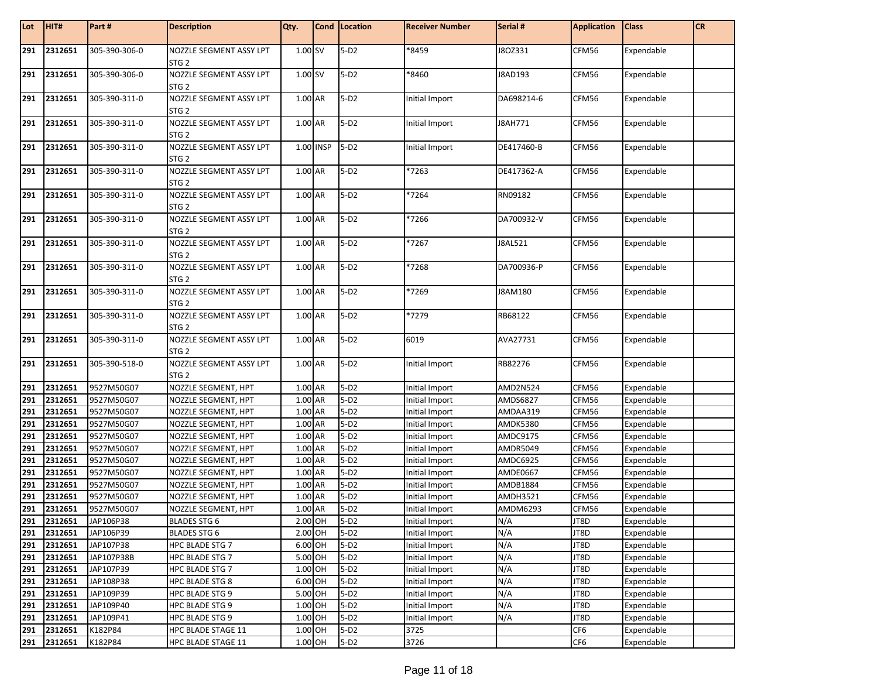| Lot | HIT#        | Part#         | <b>Description</b>                          | Qty.      | Cond Location | <b>Receiver Number</b> | Serial #        | <b>Application</b> | <b>Class</b> | <b>CR</b> |
|-----|-------------|---------------|---------------------------------------------|-----------|---------------|------------------------|-----------------|--------------------|--------------|-----------|
| 291 | 2312651     | 305-390-306-0 | NOZZLE SEGMENT ASSY LPT<br>STG <sub>2</sub> | 1.00 SV   | $5-D2$        | *8459                  | J8OZ331         | CFM56              | Expendable   |           |
| 291 | 2312651     | 305-390-306-0 | NOZZLE SEGMENT ASSY LPT<br>STG <sub>2</sub> | 1.00 SV   | $5-D2$        | *8460                  | J8AD193         | CFM56              | Expendable   |           |
| 291 | 2312651     | 305-390-311-0 | NOZZLE SEGMENT ASSY LPT<br>STG <sub>2</sub> | 1.00 AR   | $5-D2$        | Initial Import         | DA698214-6      | CFM56              | Expendable   |           |
| 291 | 2312651     | 305-390-311-0 | NOZZLE SEGMENT ASSY LPT<br>STG <sub>2</sub> | 1.00 AR   | $5-D2$        | Initial Import         | J8AH771         | CFM56              | Expendable   |           |
| 291 | 2312651     | 305-390-311-0 | NOZZLE SEGMENT ASSY LPT<br>STG <sub>2</sub> | 1.00 INSP | $5-D2$        | Initial Import         | DE417460-B      | CFM56              | Expendable   |           |
| 291 | 2312651     | 305-390-311-0 | NOZZLE SEGMENT ASSY LPT<br>STG <sub>2</sub> | 1.00 AR   | $5-D2$        | *7263                  | DE417362-A      | CFM56              | Expendable   |           |
| 291 | 2312651     | 305-390-311-0 | NOZZLE SEGMENT ASSY LPT<br>STG <sub>2</sub> | 1.00 AR   | $5-D2$        | *7264                  | RN09182         | CFM56              | Expendable   |           |
| 291 | 2312651     | 305-390-311-0 | NOZZLE SEGMENT ASSY LPT<br>STG <sub>2</sub> | 1.00 AR   | $5-D2$        | *7266                  | DA700932-V      | CFM56              | Expendable   |           |
| 291 | 2312651     | 305-390-311-0 | NOZZLE SEGMENT ASSY LPT<br>STG <sub>2</sub> | 1.00 AR   | $5-D2$        | *7267                  | J8AL521         | CFM56              | Expendable   |           |
| 291 | 2312651     | 305-390-311-0 | NOZZLE SEGMENT ASSY LPT<br>STG <sub>2</sub> | 1.00 AR   | $5-D2$        | *7268                  | DA700936-P      | CFM56              | Expendable   |           |
| 291 | 2312651     | 305-390-311-0 | NOZZLE SEGMENT ASSY LPT<br>STG <sub>2</sub> | 1.00 AR   | $5-D2$        | *7269                  | J8AM180         | CFM56              | Expendable   |           |
| 291 | 2312651     | 305-390-311-0 | NOZZLE SEGMENT ASSY LPT<br>STG <sub>2</sub> | 1.00 AR   | $5-D2$        | *7279                  | RB68122         | CFM56              | Expendable   |           |
| 291 | 2312651     | 305-390-311-0 | NOZZLE SEGMENT ASSY LPT<br>STG <sub>2</sub> | 1.00 AR   | $5-D2$        | 6019                   | AVA27731        | CFM56              | Expendable   |           |
| 291 | 2312651     | 305-390-518-0 | NOZZLE SEGMENT ASSY LPT<br>STG <sub>2</sub> | 1.00 AR   | $5-D2$        | Initial Import         | RB82276         | CFM56              | Expendable   |           |
| 291 | 2312651     | 9527M50G07    | NOZZLE SEGMENT, HPT                         | 1.00 AR   | $5-D2$        | Initial Import         | <b>AMD2N524</b> | CFM56              | Expendable   |           |
| 291 | 2312651     | 9527M50G07    | NOZZLE SEGMENT, HPT                         | 1.00 AR   | $5-D2$        | Initial Import         | AMDS6827        | CFM56              | Expendable   |           |
| 291 | 2312651     | 9527M50G07    | NOZZLE SEGMENT, HPT                         | 1.00 AR   | $5-D2$        | Initial Import         | AMDAA319        | CFM56              | Expendable   |           |
| 291 | 2312651     | 9527M50G07    | NOZZLE SEGMENT, HPT                         | 1.00 AR   | $5-D2$        | Initial Import         | <b>AMDK5380</b> | CFM56              | Expendable   |           |
| 291 | 2312651     | 9527M50G07    | NOZZLE SEGMENT, HPT                         | 1.00 AR   | $5-D2$        | Initial Import         | AMDC9175        | CFM56              | Expendable   |           |
| 291 | 2312651     | 9527M50G07    | NOZZLE SEGMENT, HPT                         | 1.00 AR   | $5-D2$        | Initial Import         | AMDR5049        | CFM56              | Expendable   |           |
| 291 | 2312651     | 9527M50G07    | NOZZLE SEGMENT, HPT                         | 1.00 AR   | $5-D2$        | Initial Import         | AMDC6925        | CFM56              | Expendable   |           |
| 291 | 2312651     | 9527M50G07    | NOZZLE SEGMENT, HPT                         | 1.00 AR   | $5-D2$        | Initial Import         | <b>AMDE0667</b> | CFM56              | Expendable   |           |
| 291 | 2312651     | 9527M50G07    | NOZZLE SEGMENT, HPT                         | 1.00 AR   | $5-D2$        | Initial Import         | <b>AMDB1884</b> | CFM56              | Expendable   |           |
| 291 | 2312651     | 9527M50G07    | NOZZLE SEGMENT, HPT                         | 1.00 AR   | $5-D2$        | Initial Import         | AMDH3521        | CFM56              | Expendable   |           |
| 291 | 2312651     | 9527M50G07    | NOZZLE SEGMENT, HPT                         | 1.00 AR   | $5-D2$        | Initial Import         | AMDM6293        | CFM56              | Expendable   |           |
|     | 291 2312651 | JAP106P38     | <b>BLADES STG 6</b>                         | 2.00 OH   | $5-D2$        | Initial Import         | N/A             | JT8D               | Expendable   |           |
| 291 | 2312651     | JAP106P39     | <b>BLADES STG 6</b>                         | 2.00 OH   | $5-D2$        | Initial Import         | N/A             | JT8D               | Expendable   |           |
| 291 | 2312651     | JAP107P38     | HPC BLADE STG 7                             | 6.00 OH   | $5-D2$        | Initial Import         | N/A             | JT8D               | Expendable   |           |
| 291 | 2312651     | JAP107P38B    | HPC BLADE STG 7                             | 5.00 OH   | $5-D2$        | Initial Import         | N/A             | JT8D               | Expendable   |           |
| 291 | 2312651     | JAP107P39     | HPC BLADE STG 7                             | 1.00 OH   | $5-D2$        | Initial Import         | N/A             | JT8D               | Expendable   |           |
| 291 | 2312651     | JAP108P38     | HPC BLADE STG 8                             | 6.00 OH   | $5-D2$        | Initial Import         | N/A             | JT8D               | Expendable   |           |
| 291 | 2312651     | JAP109P39     | HPC BLADE STG 9                             | 5.00 OH   | $5-D2$        | Initial Import         | N/A             | JT8D               | Expendable   |           |
| 291 | 2312651     | JAP109P40     | HPC BLADE STG 9                             | 1.00 OH   | $5-D2$        | Initial Import         | N/A             | JT8D               | Expendable   |           |
| 291 | 2312651     | JAP109P41     | <b>HPC BLADE STG 9</b>                      | 1.00 OH   | $5-D2$        | Initial Import         | N/A             | JT8D               | Expendable   |           |
| 291 | 2312651     | K182P84       | HPC BLADE STAGE 11                          | 1.00 OH   | $5-D2$        | 3725                   |                 | CF6                | Expendable   |           |
| 291 | 2312651     | K182P84       | HPC BLADE STAGE 11                          | 1.00 OH   | $5-D2$        | 3726                   |                 | CF <sub>6</sub>    | Expendable   |           |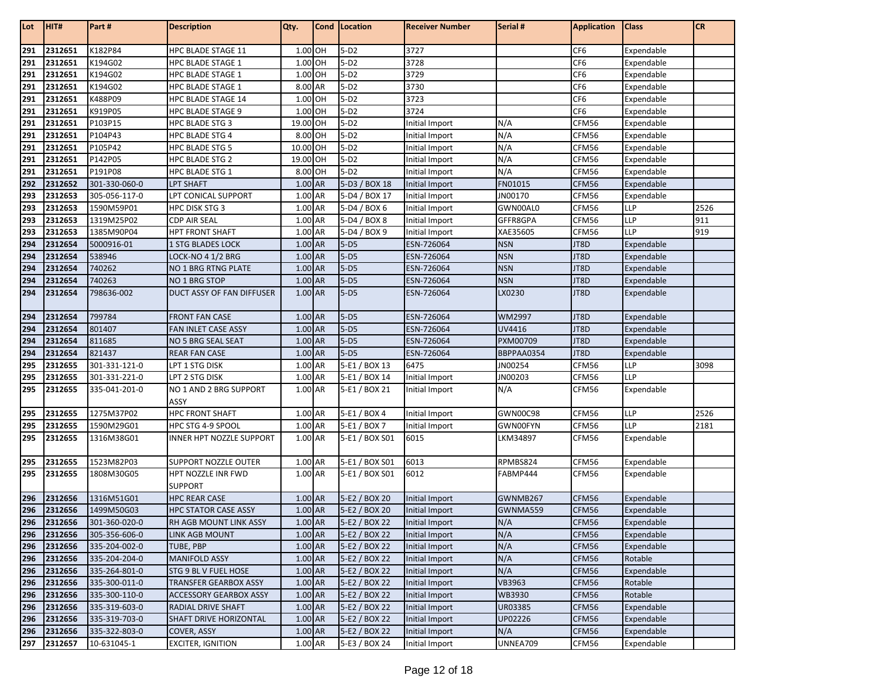| Lot | HIT#        | Part#         | <b>Description</b>          | Qty.      | Cond | Location       | <b>Receiver Number</b> | Serial #      | <b>Application</b> | <b>Class</b> | <b>CR</b> |
|-----|-------------|---------------|-----------------------------|-----------|------|----------------|------------------------|---------------|--------------------|--------------|-----------|
| 291 | 2312651     | K182P84       | HPC BLADE STAGE 11          | 1.00 OH   |      | $5-D2$         | 3727                   |               | CF <sub>6</sub>    | Expendable   |           |
| 291 | 2312651     | K194G02       | <b>HPC BLADE STAGE 1</b>    | 1.00 OH   |      | $5-D2$         | 3728                   |               | CF <sub>6</sub>    | Expendable   |           |
| 291 | 2312651     | K194G02       | HPC BLADE STAGE 1           | 1.00 OH   |      | $5-D2$         | 3729                   |               | CF <sub>6</sub>    | Expendable   |           |
| 291 | 2312651     | K194G02       | <b>HPC BLADE STAGE 1</b>    | 8.00 AR   |      | $5-D2$         | 3730                   |               | CF <sub>6</sub>    | Expendable   |           |
| 291 | 2312651     | K488P09       | <b>HPC BLADE STAGE 14</b>   | 1.00 OH   |      | $5-D2$         | 3723                   |               | CF <sub>6</sub>    | Expendable   |           |
| 291 | 2312651     | K919P05       | <b>HPC BLADE STAGE 9</b>    | 1.00 OH   |      | $5-D2$         | 3724                   |               | CF <sub>6</sub>    | Expendable   |           |
| 291 | 2312651     | P103P15       | HPC BLADE STG 3             | 19.00 OH  |      | $5-D2$         | Initial Import         | N/A           | CFM56              | Expendable   |           |
| 291 | 2312651     | P104P43       | <b>HPC BLADE STG 4</b>      | 8.00 OH   |      | $5-D2$         | Initial Import         | N/A           | CFM56              | Expendable   |           |
| 291 | 2312651     | P105P42       | <b>HPC BLADE STG 5</b>      | 10.00 OH  |      | $5-D2$         | Initial Import         | N/A           | CFM56              | Expendable   |           |
| 291 | 2312651     | P142P05       | HPC BLADE STG 2             | 19.00 OH  |      | $5-D2$         | Initial Import         | N/A           | CFM56              | Expendable   |           |
| 291 | 2312651     | P191P08       | HPC BLADE STG 1             | 8.00 OH   |      | $5-D2$         | Initial Import         | N/A           | CFM56              | Expendable   |           |
| 292 | 2312652     | 301-330-060-0 | <b>LPT SHAFT</b>            | 1.00 AR   |      | 5-D3 / BOX 18  | Initial Import         | FN01015       | CFM56              | Expendable   |           |
| 293 | 2312653     | 305-056-117-0 | LPT CONICAL SUPPORT         | 1.00 AR   |      | 5-D4 / BOX 17  | Initial Import         | JN00170       | CFM56              | Expendable   |           |
| 293 | 2312653     | 1590M59P01    | HPC DISK STG 3              | 1.00 AR   |      | 5-D4 / BOX 6   | Initial Import         | GWN00AL0      | CFM56              | LLP          | 2526      |
| 293 | 2312653     | 1319M25P02    | <b>CDP AIR SEAL</b>         | 1.00 AR   |      | 5-D4 / BOX 8   | Initial Import         | GFFR8GPA      | CFM56              | LLP          | 911       |
| 293 | 2312653     | 1385M90P04    | <b>HPT FRONT SHAFT</b>      | 1.00 AR   |      | 5-D4 / BOX 9   | Initial Import         | XAE35605      | CFM56              | LLP          | 919       |
| 294 | 2312654     | 5000916-01    | 1 STG BLADES LOCK           | $1.00$ AR |      | $5-D5$         | ESN-726064             | <b>NSN</b>    | JT8D               | Expendable   |           |
| 294 | 2312654     | 538946        | LOCK-NO 4 1/2 BRG           | $1.00$ AR |      | $5-D5$         | ESN-726064             | <b>NSN</b>    | JT8D               | Expendable   |           |
| 294 | 2312654     | 740262        | NO 1 BRG RTNG PLATE         | 1.00 AR   |      | $5-D5$         | ESN-726064             | <b>NSN</b>    | JT8D               | Expendable   |           |
| 294 | 2312654     | 740263        | NO 1 BRG STOP               | 1.00 AR   |      | $5-D5$         | ESN-726064             | <b>NSN</b>    | JT8D               | Expendable   |           |
| 294 | 2312654     | 798636-002    | DUCT ASSY OF FAN DIFFUSER   | 1.00 AR   |      | $5-D5$         | ESN-726064             | LX0230        | JT8D               | Expendable   |           |
| 294 | 2312654     | 799784        | <b>FRONT FAN CASE</b>       | 1.00 AR   |      | $5-D5$         | ESN-726064             | <b>WM2997</b> | JT8D               | Expendable   |           |
| 294 | 2312654     | 801407        | FAN INLET CASE ASSY         | 1.00 AR   |      | $5-D5$         | ESN-726064             | UV4416        | JT8D               | Expendable   |           |
| 294 | 2312654     | 811685        | NO 5 BRG SEAL SEAT          | 1.00 AR   |      | $5-D5$         | ESN-726064             | PXM00709      | JT8D               | Expendable   |           |
| 294 | 2312654     | 821437        | <b>REAR FAN CASE</b>        | 1.00 AR   |      | $5-D5$         | ESN-726064             | BBPPAA0354    | JT8D               | Expendable   |           |
| 295 | 2312655     | 301-331-121-0 | lpt 1 stg disk              | 1.00 AR   |      | 5-E1 / BOX 13  | 6475                   | JN00254       | CFM56              | LLP          | 3098      |
| 295 | 2312655     | 301-331-221-0 | LPT 2 STG DISK              | 1.00 AR   |      | 5-E1 / BOX 14  | <b>Initial Import</b>  | JN00203       | CFM56              | <b>LLP</b>   |           |
| 295 | 2312655     | 335-041-201-0 | NO 1 AND 2 BRG SUPPORT      | 1.00 AR   |      | 5-E1 / BOX 21  | Initial Import         | N/A           | CFM56              | Expendable   |           |
|     |             |               | ASSY                        |           |      |                |                        |               |                    |              |           |
| 295 | 2312655     | 1275M37P02    | <b>HPC FRONT SHAFT</b>      | 1.00 AR   |      | 5-E1 / BOX 4   | Initial Import         | GWN00C98      | CFM56              | LLP          | 2526      |
| 295 | 2312655     | 1590M29G01    | HPC STG 4-9 SPOOL           | 1.00 AR   |      | 5-E1 / BOX 7   | Initial Import         | GWN00FYN      | CFM56              | <b>LLP</b>   | 2181      |
| 295 | 2312655     | 1316M38G01    | INNER HPT NOZZLE SUPPORT    | 1.00 AR   |      | 5-E1 / BOX S01 | 6015                   | LKM34897      | CFM56              | Expendable   |           |
| 295 | 2312655     | 1523M82P03    | SUPPORT NOZZLE OUTER        | 1.00 AR   |      | 5-E1 / BOX S01 | 6013                   | RPMBS824      | CFM56              | Expendable   |           |
| 295 | 2312655     | 1808M30G05    | HPT NOZZLE INR FWD          | 1.00 AR   |      | 5-E1 / BOX S01 | 6012                   | FABMP444      | CFM56              | Expendable   |           |
|     |             |               | SUPPORT                     |           |      |                |                        |               |                    |              |           |
| 296 | 2312656     | 1316M51G01    | <b>HPC REAR CASE</b>        | 1.00 AR   |      | 5-E2 / BOX 20  | Initial Import         | GWNMB267      | CFM56              | Expendable   |           |
| 296 | 2312656     | 1499M50G03    | <b>HPC STATOR CASE ASSY</b> | 1.00 AR   |      | 5-E2 / BOX 20  | Initial Import         | GWNMA559      | CFM56              | Expendable   |           |
|     | 296 2312656 | 301-360-020-0 | RH AGB MOUNT LINK ASSY      | 1.00 AR   |      | 5-E2 / BOX 22  | Initial Import         | N/A           | CFM56              | Expendable   |           |
| 296 | 2312656     | 305-356-606-0 | LINK AGB MOUNT              | $1.00$ AR |      | 5-E2 / BOX 22  | Initial Import         | N/A           | CFM56              | Expendable   |           |
| 296 | 2312656     | 335-204-002-0 | TUBE, PBP                   | $1.00$ AR |      | 5-E2 / BOX 22  | Initial Import         | N/A           | CFM56              | Expendable   |           |
| 296 | 2312656     | 335-204-204-0 | <b>MANIFOLD ASSY</b>        | $1.00$ AR |      | 5-E2 / BOX 22  | Initial Import         | N/A           | CFM56              | Rotable      |           |
| 296 | 2312656     | 335-264-801-0 | STG 9 BL V FUEL HOSE        | 1.00 AR   |      | 5-E2 / BOX 22  | Initial Import         | N/A           | CFM56              | Expendable   |           |
| 296 | 2312656     | 335-300-011-0 | TRANSFER GEARBOX ASSY       | 1.00 AR   |      | 5-E2 / BOX 22  | Initial Import         | VB3963        | CFM56              | Rotable      |           |
| 296 | 2312656     | 335-300-110-0 | ACCESSORY GEARBOX ASSY      | 1.00 AR   |      | 5-E2 / BOX 22  | Initial Import         | WB3930        | CFM56              | Rotable      |           |
| 296 | 2312656     | 335-319-603-0 | RADIAL DRIVE SHAFT          | 1.00 AR   |      | 5-E2 / BOX 22  | Initial Import         | UR03385       | CFM56              | Expendable   |           |
| 296 | 2312656     | 335-319-703-0 | SHAFT DRIVE HORIZONTAL      | 1.00 AR   |      | 5-E2 / BOX 22  | Initial Import         | UP02226       | CFM56              | Expendable   |           |
| 296 | 2312656     | 335-322-803-0 | COVER, ASSY                 | 1.00 AR   |      | 5-E2 / BOX 22  | Initial Import         | N/A           | CFM56              | Expendable   |           |
| 297 | 2312657     | 10-631045-1   | <b>EXCITER, IGNITION</b>    | 1.00 AR   |      | 5-E3 / BOX 24  | Initial Import         | UNNEA709      | CFM56              | Expendable   |           |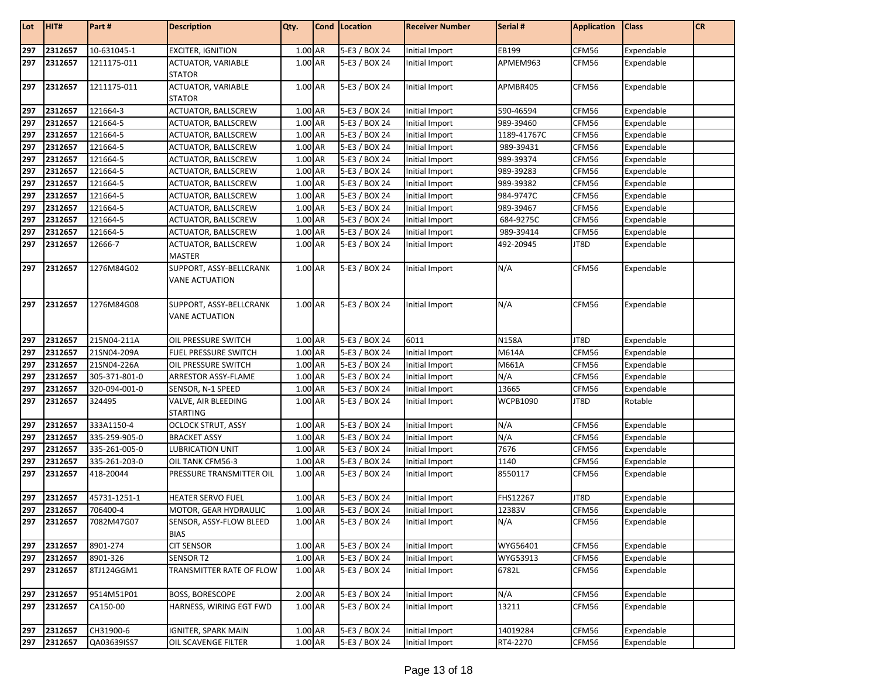| Lot | H TT#       | Part#         | <b>Description</b>                               | Qty.    | Cond   Location | <b>Receiver Number</b> | Serial #        | <b>Application</b> | <b>Class</b> | <b>CR</b> |
|-----|-------------|---------------|--------------------------------------------------|---------|-----------------|------------------------|-----------------|--------------------|--------------|-----------|
| 297 | 2312657     | 10-631045-1   | <b>EXCITER, IGNITION</b>                         | 1.00 AR | 5-E3 / BOX 24   | Initial Import         | EB199           | CFM56              | Expendable   |           |
| 297 | 2312657     | 1211175-011   | <b>ACTUATOR, VARIABLE</b><br><b>STATOR</b>       | 1.00 AR | 5-E3 / BOX 24   | Initial Import         | APMEM963        | CFM56              | Expendable   |           |
| 297 | 2312657     | 1211175-011   | <b>ACTUATOR, VARIABLE</b><br><b>STATOR</b>       | 1.00 AR | 5-E3 / BOX 24   | Initial Import         | APMBR405        | CFM56              | Expendable   |           |
| 297 | 2312657     | 121664-3      | ACTUATOR, BALLSCREW                              | 1.00 AR | 5-E3 / BOX 24   | Initial Import         | 590-46594       | CFM56              | Expendable   |           |
| 297 | 2312657     | 121664-5      | ACTUATOR, BALLSCREW                              | 1.00 AR | 5-E3 / BOX 24   | <b>Initial Import</b>  | 989-39460       | CFM56              | Expendable   |           |
| 297 | 2312657     | 121664-5      | ACTUATOR, BALLSCREW                              | 1.00 AR | 5-E3 / BOX 24   | Initial Import         | 1189-41767C     | CFM56              | Expendable   |           |
| 297 | 2312657     | 121664-5      | ACTUATOR, BALLSCREW                              | 1.00 AR | 5-E3 / BOX 24   | Initial Import         | 989-39431       | CFM56              | Expendable   |           |
| 297 | 2312657     | 121664-5      | <b>ACTUATOR, BALLSCREW</b>                       | 1.00 AR | 5-E3 / BOX 24   | Initial Import         | 989-39374       | CFM56              | Expendable   |           |
| 297 | 2312657     | 121664-5      | ACTUATOR, BALLSCREW                              | 1.00 AR | 5-E3 / BOX 24   | Initial Import         | 989-39283       | CFM56              | Expendable   |           |
| 297 | 2312657     | 121664-5      | ACTUATOR, BALLSCREW                              | 1.00 AR | 5-E3 / BOX 24   | Initial Import         | 989-39382       | CFM56              | Expendable   |           |
| 297 | 2312657     | 121664-5      | ACTUATOR, BALLSCREW                              | 1.00 AR | 5-E3 / BOX 24   | Initial Import         | 984-9747C       | CFM56              | Expendable   |           |
| 297 | 2312657     | 121664-5      | ACTUATOR, BALLSCREW                              | 1.00 AR | 5-E3 / BOX 24   | Initial Import         | 989-39467       | CFM56              | Expendable   |           |
| 297 | 2312657     | 121664-5      | ACTUATOR, BALLSCREW                              | 1.00 AR | 5-E3 / BOX 24   | Initial Import         | 684-9275C       | CFM56              | Expendable   |           |
| 297 | 2312657     | 121664-5      | ACTUATOR, BALLSCREW                              | 1.00 AR | 5-E3 / BOX 24   | Initial Import         | 989-39414       | CFM56              | Expendable   |           |
| 297 | 2312657     | 12666-7       | ACTUATOR, BALLSCREW<br><b>MASTER</b>             | 1.00 AR | 5-E3 / BOX 24   | Initial Import         | 492-20945       | JT8D               | Expendable   |           |
|     | 297 2312657 | 1276M84G02    | SUPPORT, ASSY-BELLCRANK<br><b>VANE ACTUATION</b> | 1.00 AR | 5-E3 / BOX 24   | Initial Import         | N/A             | CFM56              | Expendable   |           |
| 297 | 2312657     | 1276M84G08    | SUPPORT, ASSY-BELLCRANK<br><b>VANE ACTUATION</b> | 1.00 AR | 5-E3 / BOX 24   | Initial Import         | N/A             | CFM56              | Expendable   |           |
| 297 | 2312657     | 215N04-211A   | OIL PRESSURE SWITCH                              | 1.00 AR | 5-E3 / BOX 24   | 6011                   | <b>N158A</b>    | JT8D               | Expendable   |           |
| 297 | 2312657     | 21SN04-209A   | FUEL PRESSURE SWITCH                             | 1.00 AR | 5-E3 / BOX 24   | Initial Import         | M614A           | CFM56              | Expendable   |           |
| 297 | 2312657     | 21SN04-226A   | OIL PRESSURE SWITCH                              | 1.00 AR | 5-E3 / BOX 24   | Initial Import         | M661A           | CFM56              | Expendable   |           |
| 297 | 2312657     | 305-371-801-0 | ARRESTOR ASSY-FLAME                              | 1.00 AR | 5-E3 / BOX 24   | Initial Import         | N/A             | CFM56              | Expendable   |           |
| 297 | 2312657     | 320-094-001-0 | SENSOR, N-1 SPEED                                | 1.00 AR | 5-E3 / BOX 24   | Initial Import         | 13665           | CFM56              | Expendable   |           |
| 297 | 2312657     | 324495        | VALVE, AIR BLEEDING<br><b>STARTING</b>           | 1.00 AR | 5-E3 / BOX 24   | Initial Import         | <b>WCPB1090</b> | JT8D               | Rotable      |           |
| 297 | 2312657     | 333A1150-4    | <b>OCLOCK STRUT, ASSY</b>                        | 1.00 AR | 5-E3 / BOX 24   | Initial Import         | N/A             | CFM56              | Expendable   |           |
| 297 | 2312657     | 335-259-905-0 | <b>BRACKET ASSY</b>                              | 1.00 AR | 5-E3 / BOX 24   | Initial Import         | N/A             | CFM56              | Expendable   |           |
| 297 | 2312657     | 335-261-005-0 | <b>LUBRICATION UNIT</b>                          | 1.00 AR | 5-E3 / BOX 24   | Initial Import         | 7676            | CFM56              | Expendable   |           |
| 297 | 2312657     | 335-261-203-0 | OIL TANK CFM56-3                                 | 1.00 AR | 5-E3 / BOX 24   | Initial Import         | 1140            | CFM56              | Expendable   |           |
| 297 | 2312657     | 418-20044     | PRESSURE TRANSMITTER OIL                         | 1.00 AR | 5-E3 / BOX 24   | Initial Import         | 8550117         | CFM56              | Expendable   |           |
| 297 | 2312657     | 45731-1251-1  | <b>HEATER SERVO FUEL</b>                         | 1.00 AR | 5-E3 / BOX 24   | Initial Import         | FHS12267        | JT8D               | Expendable   |           |
| 297 | 2312657     | 706400-4      | MOTOR, GEAR HYDRAULIC                            | 1.00 AR | 5-E3 / BOX 24   | Initial Import         | 12383V          | CFM56              | Expendable   |           |
|     | 297 2312657 | 7082M47G07    | SENSOR, ASSY-FLOW BLEED<br><b>BIAS</b>           | 1.00 AR | 5-E3 / BOX 24   | Initial Import         | N/A             | CFM56              | Expendable   |           |
| 297 | 2312657     | 8901-274      | <b>CIT SENSOR</b>                                | 1.00 AR | 5-E3 / BOX 24   | Initial Import         | WYG56401        | CFM56              | Expendable   |           |
| 297 | 2312657     | 8901-326      | SENSOR T2                                        | 1.00 AR | 5-E3 / BOX 24   | Initial Import         | WYG53913        | CFM56              | Expendable   |           |
| 297 | 2312657     | 8TJ124GGM1    | TRANSMITTER RATE OF FLOW                         | 1.00 AR | 5-E3 / BOX 24   | Initial Import         | 6782L           | CFM56              | Expendable   |           |
| 297 | 2312657     | 9514M51P01    | <b>BOSS, BORESCOPE</b>                           | 2.00 AR | 5-E3 / BOX 24   | Initial Import         | N/A             | CFM56              | Expendable   |           |
| 297 | 2312657     | CA150-00      | HARNESS, WIRING EGT FWD                          | 1.00 AR | 5-E3 / BOX 24   | Initial Import         | 13211           | CFM56              | Expendable   |           |
| 297 | 2312657     | CH31900-6     | <b>IGNITER, SPARK MAIN</b>                       | 1.00 AR | 5-E3 / BOX 24   | Initial Import         | 14019284        | CFM56              | Expendable   |           |
| 297 | 2312657     | QA03639ISS7   | OIL SCAVENGE FILTER                              | 1.00 AR | 5-E3 / BOX 24   | Initial Import         | RT4-2270        | CFM56              | Expendable   |           |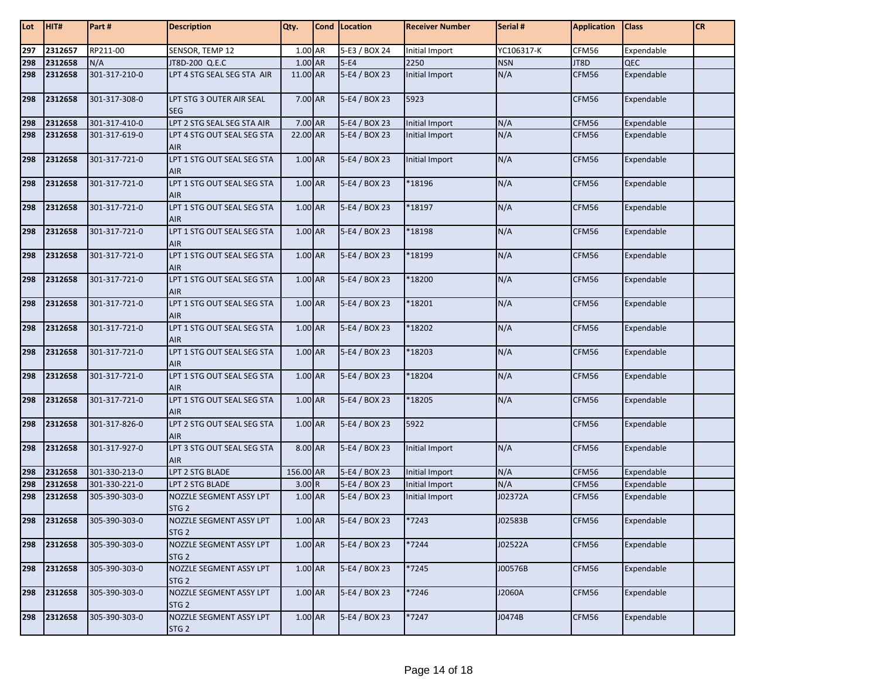| Lot | HIT#        | Part #        | <b>Description</b>                          | Qty.      | Cond Location | <b>Receiver Number</b> | Serial #   | <b>Application</b> | <b>Class</b> | <b>CR</b> |
|-----|-------------|---------------|---------------------------------------------|-----------|---------------|------------------------|------------|--------------------|--------------|-----------|
| 297 | 2312657     | RP211-00      | SENSOR, TEMP 12                             | 1.00 AR   | 5-E3 / BOX 24 | Initial Import         | YC106317-K | CFM56              | Expendable   |           |
| 298 | 2312658     | N/A           | JT8D-200 Q.E.C                              | 1.00 AR   | $5-E4$        | 2250                   | <b>NSN</b> | JT8D               | QEC          |           |
| 298 | 2312658     | 301-317-210-0 | LPT 4 STG SEAL SEG STA AIR                  | 11.00 AR  | 5-E4 / BOX 23 | Initial Import         | N/A        | CFM56              | Expendable   |           |
| 298 | 2312658     | 301-317-308-0 | LPT STG 3 OUTER AIR SEAL<br><b>SEG</b>      | 7.00 AR   | 5-E4 / BOX 23 | 5923                   |            | CFM56              | Expendable   |           |
| 298 | 2312658     | 301-317-410-0 | LPT 2 STG SEAL SEG STA AIR                  | 7.00 AR   | 5-E4 / BOX 23 | Initial Import         | N/A        | CFM56              | Expendable   |           |
| 298 | 2312658     | 301-317-619-0 | LPT 4 STG OUT SEAL SEG STA<br><b>AIR</b>    | 22.00 AR  | 5-E4 / BOX 23 | Initial Import         | N/A        | CFM56              | Expendable   |           |
| 298 | 2312658     | 301-317-721-0 | LPT 1 STG OUT SEAL SEG STA<br><b>AIR</b>    | 1.00 AR   | 5-E4 / BOX 23 | Initial Import         | N/A        | CFM56              | Expendable   |           |
| 298 | 2312658     | 301-317-721-0 | LPT 1 STG OUT SEAL SEG STA<br><b>AIR</b>    | $1.00$ AR | 5-E4 / BOX 23 | *18196                 | N/A        | CFM56              | Expendable   |           |
| 298 | 2312658     | 301-317-721-0 | LPT 1 STG OUT SEAL SEG STA<br><b>AIR</b>    | 1.00 AR   | 5-E4 / BOX 23 | *18197                 | N/A        | CFM56              | Expendable   |           |
| 298 | 2312658     | 301-317-721-0 | LPT 1 STG OUT SEAL SEG STA<br><b>AIR</b>    | 1.00 AR   | 5-E4 / BOX 23 | *18198                 | N/A        | CFM56              | Expendable   |           |
| 298 | 2312658     | 301-317-721-0 | LPT 1 STG OUT SEAL SEG STA<br><b>AIR</b>    | 1.00 AR   | 5-E4 / BOX 23 | *18199                 | N/A        | CFM56              | Expendable   |           |
| 298 | 2312658     | 301-317-721-0 | LPT 1 STG OUT SEAL SEG STA<br><b>AIR</b>    | 1.00 AR   | 5-E4 / BOX 23 | *18200                 | N/A        | CFM56              | Expendable   |           |
| 298 | 2312658     | 301-317-721-0 | LPT 1 STG OUT SEAL SEG STA<br><b>AIR</b>    | 1.00 AR   | 5-E4 / BOX 23 | *18201                 | N/A        | CFM56              | Expendable   |           |
| 298 | 2312658     | 301-317-721-0 | LPT 1 STG OUT SEAL SEG STA<br><b>AIR</b>    | 1.00 AR   | 5-E4 / BOX 23 | *18202                 | N/A        | CFM56              | Expendable   |           |
| 298 | 2312658     | 301-317-721-0 | LPT 1 STG OUT SEAL SEG STA<br><b>AIR</b>    | 1.00 AR   | 5-E4 / BOX 23 | *18203                 | N/A        | CFM56              | Expendable   |           |
| 298 | 2312658     | 301-317-721-0 | LPT 1 STG OUT SEAL SEG STA<br><b>AIR</b>    | 1.00 AR   | 5-E4 / BOX 23 | *18204                 | N/A        | CFM56              | Expendable   |           |
| 298 | 2312658     | 301-317-721-0 | LPT 1 STG OUT SEAL SEG STA<br><b>AIR</b>    | 1.00 AR   | 5-E4 / BOX 23 | *18205                 | N/A        | CFM56              | Expendable   |           |
| 298 | 2312658     | 301-317-826-0 | LPT 2 STG OUT SEAL SEG STA<br><b>AIR</b>    | 1.00 AR   | 5-E4 / BOX 23 | 5922                   |            | CFM56              | Expendable   |           |
| 298 | 2312658     | 301-317-927-0 | LPT 3 STG OUT SEAL SEG STA<br><b>AIR</b>    | 8.00 AR   | 5-E4 / BOX 23 | Initial Import         | N/A        | CFM56              | Expendable   |           |
| 298 | 2312658     | 301-330-213-0 | LPT 2 STG BLADE                             | 156.00 AR | 5-E4 / BOX 23 | <b>Initial Import</b>  | N/A        | CFM56              | Expendable   |           |
| 298 | 2312658     | 301-330-221-0 | LPT 2 STG BLADE                             | 3.00 R    | 5-E4 / BOX 23 | <b>Initial Import</b>  | N/A        | CFM56              | Expendable   |           |
| 298 | 2312658     | 305-390-303-0 | NOZZLE SEGMENT ASSY LPT<br>STG <sub>2</sub> | 1.00 AR   | 5-E4 / BOX 23 | Initial Import         | J02372A    | CFM56              | Expendable   |           |
|     | 298 2312658 | 305-390-303-0 | NOZZLE SEGMENT ASSY LPT<br>STG <sub>2</sub> | $1.00$ AR | 5-E4 / BOX 23 | $*7243$                | J02583B    | CFM56              | Expendable   |           |
|     | 298 2312658 | 305-390-303-0 | NOZZLE SEGMENT ASSY LPT<br>STG <sub>2</sub> | $1.00$ AR | 5-E4 / BOX 23 | *7244                  | J02522A    | CFM56              | Expendable   |           |
| 298 | 2312658     | 305-390-303-0 | NOZZLE SEGMENT ASSY LPT<br>STG <sub>2</sub> | 1.00 AR   | 5-E4 / BOX 23 | *7245                  | J00576B    | CFM56              | Expendable   |           |
| 298 | 2312658     | 305-390-303-0 | NOZZLE SEGMENT ASSY LPT<br>STG <sub>2</sub> | 1.00 AR   | 5-E4 / BOX 23 | *7246                  | J2060A     | CFM56              | Expendable   |           |
| 298 | 2312658     | 305-390-303-0 | NOZZLE SEGMENT ASSY LPT<br>STG <sub>2</sub> | 1.00 AR   | 5-E4 / BOX 23 | *7247                  | J0474B     | CFM56              | Expendable   |           |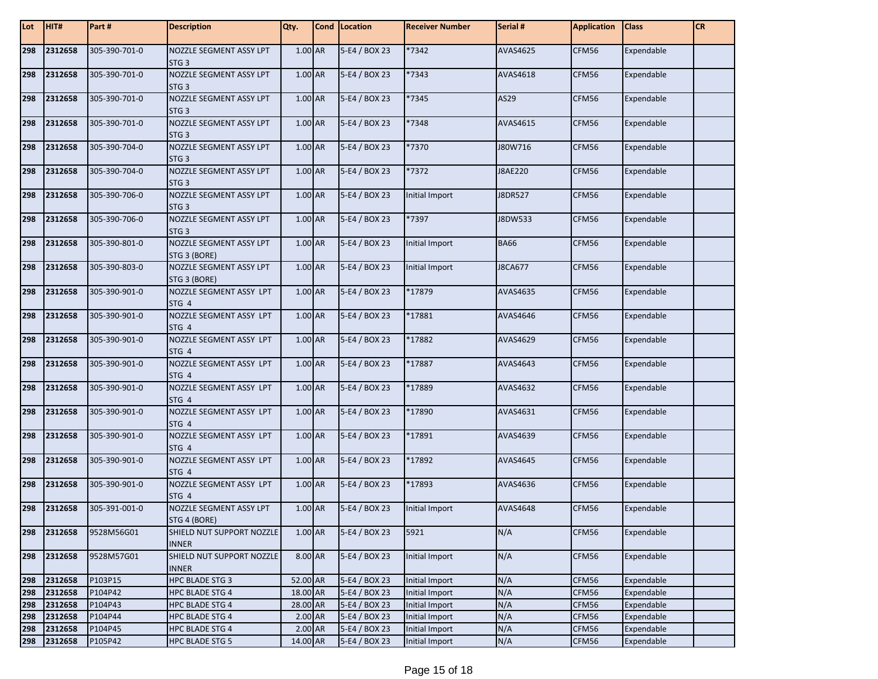| Lot | HIT#    | Part #        | <b>Description</b>                             | Qty.      | Cond   Location | <b>Receiver Number</b> | Serial #       | <b>Application</b> | <b>Class</b> | <b>CR</b> |
|-----|---------|---------------|------------------------------------------------|-----------|-----------------|------------------------|----------------|--------------------|--------------|-----------|
| 298 | 2312658 | 305-390-701-0 | NOZZLE SEGMENT ASSY LPT<br>STG <sub>3</sub>    | 1.00 AR   | 5-E4 / BOX 23   | *7342                  | AVAS4625       | CFM56              | Expendable   |           |
| 298 | 2312658 | 305-390-701-0 | NOZZLE SEGMENT ASSY LPT<br>STG <sub>3</sub>    | 1.00 AR   | 5-E4 / BOX 23   | *7343                  | AVAS4618       | CFM56              | Expendable   |           |
| 298 | 2312658 | 305-390-701-0 | NOZZLE SEGMENT ASSY LPT<br>STG <sub>3</sub>    | 1.00 AR   | 5-E4 / BOX 23   | *7345                  | AS29           | CFM56              | Expendable   |           |
| 298 | 2312658 | 305-390-701-0 | NOZZLE SEGMENT ASSY LPT<br>STG <sub>3</sub>    | 1.00 AR   | 5-E4 / BOX 23   | *7348                  | AVAS4615       | CFM56              | Expendable   |           |
| 298 | 2312658 | 305-390-704-0 | NOZZLE SEGMENT ASSY LPT<br>STG <sub>3</sub>    | 1.00 AR   | 5-E4 / BOX 23   | *7370                  | J80W716        | CFM56              | Expendable   |           |
| 298 | 2312658 | 305-390-704-0 | NOZZLE SEGMENT ASSY LPT<br>STG <sub>3</sub>    | 1.00 AR   | 5-E4 / BOX 23   | *7372                  | J8AE220        | CFM56              | Expendable   |           |
| 298 | 2312658 | 305-390-706-0 | NOZZLE SEGMENT ASSY LPT<br>STG <sub>3</sub>    | 1.00 AR   | 5-E4 / BOX 23   | Initial Import         | J8DR527        | CFM56              | Expendable   |           |
| 298 | 2312658 | 305-390-706-0 | NOZZLE SEGMENT ASSY LPT<br>STG <sub>3</sub>    | 1.00 AR   | 5-E4 / BOX 23   | *7397                  | J8DW533        | CFM56              | Expendable   |           |
| 298 | 2312658 | 305-390-801-0 | <b>NOZZLE SEGMENT ASSY LPT</b><br>STG 3 (BORE) | 1.00 AR   | 5-E4 / BOX 23   | Initial Import         | <b>BA66</b>    | CFM56              | Expendable   |           |
| 298 | 2312658 | 305-390-803-0 | NOZZLE SEGMENT ASSY LPT<br>STG 3 (BORE)        | 1.00 AR   | 5-E4 / BOX 23   | Initial Import         | <b>J8CA677</b> | CFM56              | Expendable   |           |
| 298 | 2312658 | 305-390-901-0 | NOZZLE SEGMENT ASSY LPT<br>STG 4               | $1.00$ AR | 5-E4 / BOX 23   | *17879                 | AVAS4635       | CFM56              | Expendable   |           |
| 298 | 2312658 | 305-390-901-0 | NOZZLE SEGMENT ASSY LPT<br>STG 4               | 1.00 AR   | 5-E4 / BOX 23   | *17881                 | AVAS4646       | CFM56              | Expendable   |           |
| 298 | 2312658 | 305-390-901-0 | NOZZLE SEGMENT ASSY LPT<br>STG 4               | 1.00 AR   | 5-E4 / BOX 23   | *17882                 | AVAS4629       | CFM56              | Expendable   |           |
| 298 | 2312658 | 305-390-901-0 | NOZZLE SEGMENT ASSY LPT<br>STG 4               | 1.00 AR   | 5-E4 / BOX 23   | *17887                 | AVAS4643       | CFM56              | Expendable   |           |
| 298 | 2312658 | 305-390-901-0 | NOZZLE SEGMENT ASSY LPT<br>STG 4               | 1.00 AR   | 5-E4 / BOX 23   | *17889                 | AVAS4632       | CFM56              | Expendable   |           |
| 298 | 2312658 | 305-390-901-0 | NOZZLE SEGMENT ASSY LPT<br>STG 4               | 1.00 AR   | 5-E4 / BOX 23   | *17890                 | AVAS4631       | CFM56              | Expendable   |           |
| 298 | 2312658 | 305-390-901-0 | NOZZLE SEGMENT ASSY LPT<br>STG 4               | 1.00 AR   | 5-E4 / BOX 23   | $*17891$               | AVAS4639       | CFM56              | Expendable   |           |
| 298 | 2312658 | 305-390-901-0 | NOZZLE SEGMENT ASSY LPT<br>STG 4               | 1.00 AR   | 5-E4 / BOX 23   | *17892                 | AVAS4645       | CFM56              | Expendable   |           |
| 298 | 2312658 | 305-390-901-0 | NOZZLE SEGMENT ASSY LPT<br>STG 4               | 1.00 AR   | 5-E4 / BOX 23   | *17893                 | AVAS4636       | CFM56              | Expendable   |           |
| 298 | 2312658 | 305-391-001-0 | NOZZLE SEGMENT ASSY LPT<br>STG 4 (BORE)        | 1.00 AR   | 5-E4 / BOX 23   | Initial Import         | AVAS4648       | CFM56              | Expendable   |           |
| 298 | 2312658 | 9528M56G01    | SHIELD NUT SUPPORT NOZZLE<br><b>INNER</b>      | 1.00 AR   | 5-E4 / BOX 23   | 5921                   | N/A            | CFM56              | Expendable   |           |
| 298 | 2312658 | 9528M57G01    | SHIELD NUT SUPPORT NOZZLE<br><b>INNER</b>      | 8.00 AR   | 5-E4 / BOX 23   | Initial Import         | N/A            | CFM56              | Expendable   |           |
| 298 | 2312658 | P103P15       | HPC BLADE STG 3                                | 52.00 AR  | 5-E4 / BOX 23   | Initial Import         | N/A            | CFM56              | Expendable   |           |
| 298 | 2312658 | P104P42       | HPC BLADE STG 4                                | 18.00 AR  | 5-E4 / BOX 23   | Initial Import         | N/A            | CFM56              | Expendable   |           |
| 298 | 2312658 | P104P43       | HPC BLADE STG 4                                | 28.00 AR  | 5-E4 / BOX 23   | Initial Import         | N/A            | CFM56              | Expendable   |           |
| 298 | 2312658 | P104P44       | HPC BLADE STG 4                                | 2.00 AR   | 5-E4 / BOX 23   | Initial Import         | N/A            | CFM56              | Expendable   |           |
| 298 | 2312658 | P104P45       | HPC BLADE STG 4                                | 2.00 AR   | 5-E4 / BOX 23   | Initial Import         | N/A            | CFM56              | Expendable   |           |
| 298 | 2312658 | P105P42       | HPC BLADE STG 5                                | 14.00 AR  | 5-E4 / BOX 23   | Initial Import         | N/A            | CFM56              | Expendable   |           |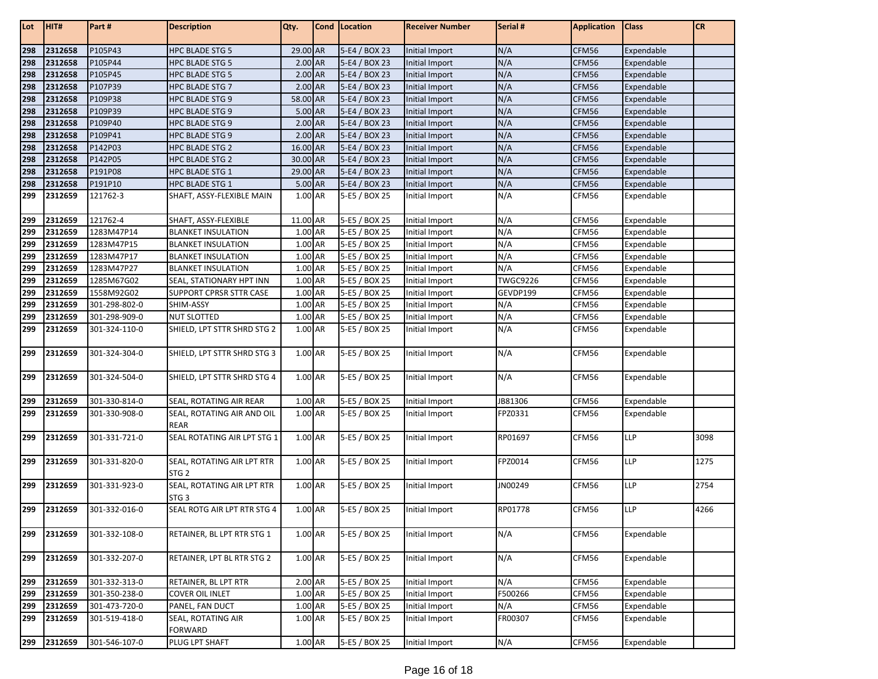| Lot | HIT#    | Part#         | <b>Description</b>                             | Qty.     | Cond Location | <b>Receiver Number</b> | Serial #        | <b>Application</b> | <b>Class</b> | <b>CR</b> |
|-----|---------|---------------|------------------------------------------------|----------|---------------|------------------------|-----------------|--------------------|--------------|-----------|
| 298 | 2312658 | P105P43       | <b>HPC BLADE STG 5</b>                         | 29.00 AR | 5-E4 / BOX 23 | Initial Import         | N/A             | CFM56              | Expendable   |           |
| 298 | 2312658 | P105P44       | <b>HPC BLADE STG 5</b>                         | 2.00 AR  | 5-E4 / BOX 23 | Initial Import         | N/A             | CFM56              | Expendable   |           |
| 298 | 2312658 | P105P45       | <b>HPC BLADE STG 5</b>                         | 2.00 AR  | 5-E4 / BOX 23 | Initial Import         | N/A             | CFM56              | Expendable   |           |
| 298 | 2312658 | P107P39       | HPC BLADE STG 7                                | 2.00 AR  | 5-E4 / BOX 23 | Initial Import         | N/A             | CFM56              | Expendable   |           |
| 298 | 2312658 | P109P38       | <b>HPC BLADE STG 9</b>                         | 58.00 AR | 5-E4 / BOX 23 | Initial Import         | N/A             | CFM56              | Expendable   |           |
| 298 | 2312658 | P109P39       | <b>HPC BLADE STG 9</b>                         | 5.00 AR  | 5-E4 / BOX 23 | Initial Import         | N/A             | CFM56              | Expendable   |           |
| 298 | 2312658 | P109P40       | <b>HPC BLADE STG 9</b>                         | 2.00 AR  | 5-E4 / BOX 23 | Initial Import         | N/A             | CFM56              | Expendable   |           |
| 298 | 2312658 | P109P41       | HPC BLADE STG 9                                | 2.00 AR  | 5-E4 / BOX 23 | Initial Import         | N/A             | CFM56              | Expendable   |           |
| 298 | 2312658 | P142P03       | HPC BLADE STG 2                                | 16.00 AR | 5-E4 / BOX 23 | Initial Import         | N/A             | CFM56              | Expendable   |           |
| 298 | 2312658 | P142P05       | <b>HPC BLADE STG 2</b>                         | 30.00 AR | 5-E4 / BOX 23 | Initial Import         | N/A             | CFM56              | Expendable   |           |
| 298 | 2312658 | P191P08       | <b>HPC BLADE STG 1</b>                         | 29.00 AR | 5-E4 / BOX 23 | Initial Import         | N/A             | CFM56              | Expendable   |           |
| 298 | 2312658 | P191P10       | <b>HPC BLADE STG 1</b>                         | 5.00 AR  | 5-E4 / BOX 23 | Initial Import         | N/A             | CFM56              | Expendable   |           |
| 299 | 2312659 | 121762-3      | SHAFT, ASSY-FLEXIBLE MAIN                      | 1.00 AR  | 5-E5 / BOX 25 | Initial Import         | N/A             | CFM56              | Expendable   |           |
| 299 | 2312659 | 121762-4      | SHAFT, ASSY-FLEXIBLE                           | 11.00 AR | 5-E5 / BOX 25 | Initial Import         | N/A             | CFM56              | Expendable   |           |
| 299 | 2312659 | 1283M47P14    | <b>BLANKET INSULATION</b>                      | 1.00 AR  | 5-E5 / BOX 25 | Initial Import         | N/A             | CFM56              | Expendable   |           |
| 299 | 2312659 | 1283M47P15    | <b>BLANKET INSULATION</b>                      | 1.00 AR  | 5-E5 / BOX 25 | Initial Import         | N/A             | CFM56              | Expendable   |           |
| 299 | 2312659 | 1283M47P17    | <b>BLANKET INSULATION</b>                      | 1.00 AR  | 5-E5 / BOX 25 | Initial Import         | N/A             | CFM56              | Expendable   |           |
| 299 | 2312659 | 1283M47P27    | <b>BLANKET INSULATION</b>                      | 1.00 AR  | 5-E5 / BOX 25 | Initial Import         | N/A             | CFM56              | Expendable   |           |
| 299 | 2312659 | 1285M67G02    | SEAL, STATIONARY HPT INN                       | 1.00 AR  | 5-E5 / BOX 25 | Initial Import         | <b>TWGC9226</b> | CFM56              | Expendable   |           |
| 299 | 2312659 | 1558M92G02    | SUPPORT CPRSR STTR CASE                        | 1.00 AR  | 5-E5 / BOX 25 | Initial Import         | GEVDP199        | CFM56              | Expendable   |           |
| 299 | 2312659 | 301-298-802-0 | SHIM-ASSY                                      | 1.00 AR  | 5-E5 / BOX 25 | Initial Import         | N/A             | CFM56              | Expendable   |           |
| 299 | 2312659 | 301-298-909-0 | <b>NUT SLOTTED</b>                             | 1.00 AR  | 5-E5 / BOX 25 | Initial Import         | N/A             | CFM56              | Expendable   |           |
| 299 | 2312659 | 301-324-110-0 | SHIELD, LPT STTR SHRD STG 2                    | 1.00 AR  | 5-E5 / BOX 25 | Initial Import         | N/A             | CFM56              | Expendable   |           |
| 299 | 2312659 | 301-324-304-0 | SHIELD, LPT STTR SHRD STG 3                    | 1.00 AR  | 5-E5 / BOX 25 | Initial Import         | N/A             | CFM56              | Expendable   |           |
| 299 | 2312659 | 301-324-504-0 | SHIELD, LPT STTR SHRD STG 4                    | 1.00 AR  | 5-E5 / BOX 25 | Initial Import         | N/A             | CFM56              | Expendable   |           |
| 299 | 2312659 | 301-330-814-0 | SEAL, ROTATING AIR REAR                        | 1.00 AR  | 5-E5 / BOX 25 | Initial Import         | JB81306         | CFM56              | Expendable   |           |
| 299 | 2312659 | 301-330-908-0 | SEAL, ROTATING AIR AND OIL                     | 1.00 AR  | 5-E5 / BOX 25 | Initial Import         | FPZ0331         | CFM56              | Expendable   |           |
|     |         |               | <b>REAR</b>                                    |          |               |                        |                 |                    |              |           |
| 299 | 2312659 | 301-331-721-0 | SEAL ROTATING AIR LPT STG 1                    | 1.00 AR  | 5-E5 / BOX 25 | Initial Import         | RP01697         | CFM56              | <b>LLP</b>   | 3098      |
| 299 | 2312659 | 301-331-820-0 | SEAL, ROTATING AIR LPT RTR<br>STG <sub>2</sub> | 1.00 AR  | 5-E5 / BOX 25 | Initial Import         | FPZ0014         | CFM56              | <b>LLP</b>   | 1275      |
| 299 | 2312659 | 301-331-923-0 | SEAL, ROTATING AIR LPT RTR<br>STG <sub>3</sub> | 1.00 AR  | 5-E5 / BOX 25 | Initial Import         | JN00249         | CFM56              | <b>LLP</b>   | 2754      |
| 299 | 2312659 | 301-332-016-0 | SEAL ROTG AIR LPT RTR STG 4                    | 1.00 AR  | 5-E5 / BOX 25 | Initial Import         | RP01778         | CFM56              | <b>LLP</b>   | 4266      |
| 299 | 2312659 | 301-332-108-0 | RETAINER, BL LPT RTR STG 1                     | 1.00 AR  | 5-E5 / BOX 25 | Initial Import         | N/A             | CFM56              | Expendable   |           |
| 299 | 2312659 | 301-332-207-0 | RETAINER, LPT BL RTR STG 2                     | 1.00 AR  | 5-E5 / BOX 25 | Initial Import         | N/A             | CFM56              | Expendable   |           |
| 299 | 2312659 | 301-332-313-0 | RETAINER, BL LPT RTR                           | 2.00 AR  | 5-E5 / BOX 25 | Initial Import         | N/A             | CFM56              | Expendable   |           |
| 299 | 2312659 | 301-350-238-0 | <b>COVER OIL INLET</b>                         | 1.00 AR  | 5-E5 / BOX 25 | Initial Import         | F500266         | CFM56              | Expendable   |           |
| 299 | 2312659 | 301-473-720-0 | PANEL, FAN DUCT                                | 1.00 AR  | 5-E5 / BOX 25 | Initial Import         | N/A             | CFM56              | Expendable   |           |
| 299 | 2312659 | 301-519-418-0 | SEAL, ROTATING AIR                             | 1.00 AR  | 5-E5 / BOX 25 | Initial Import         | FR00307         | CFM56              | Expendable   |           |
|     |         |               | <b>FORWARD</b>                                 |          |               |                        |                 |                    |              |           |
| 299 | 2312659 | 301-546-107-0 | PLUG LPT SHAFT                                 | 1.00 AR  | 5-E5 / BOX 25 | Initial Import         | N/A             | CFM56              | Expendable   |           |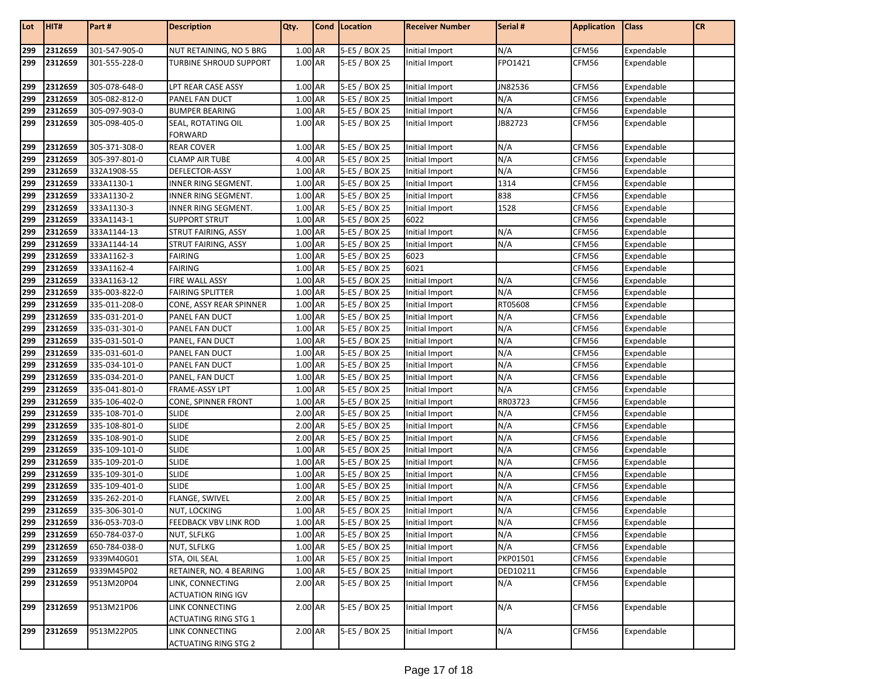| Lot        | HIT#               | Part #                         | <b>Description</b>           | Qty.               | Cond   Location                | <b>Receiver Number</b>           | Serial #       | <b>Application</b> | <b>Class</b>             | CR |
|------------|--------------------|--------------------------------|------------------------------|--------------------|--------------------------------|----------------------------------|----------------|--------------------|--------------------------|----|
| 299        | 2312659            | 301-547-905-0                  | NUT RETAINING, NO 5 BRG      | 1.00 AR            | 5-E5 / BOX 25                  | Initial Import                   | N/A            | CFM56              | Expendable               |    |
| 299        | 2312659            | 301-555-228-0                  | TURBINE SHROUD SUPPORT       | 1.00 AR            | 5-E5 / BOX 25                  | Initial Import                   | FPO1421        | CFM56              | Expendable               |    |
|            |                    |                                |                              |                    |                                |                                  |                |                    |                          |    |
| 299        | 2312659            | 305-078-648-0                  | LPT REAR CASE ASSY           | 1.00 AR            | 5-E5 / BOX 25                  | Initial Import                   | JN82536        | CFM56              | Expendable               |    |
| 299        | 2312659            | 305-082-812-0                  | PANEL FAN DUCT               | 1.00 AR            | 5-E5 / BOX 25                  | Initial Import                   | N/A            | CFM56              | Expendable               |    |
| 299        | 2312659            | 305-097-903-0                  | <b>BUMPER BEARING</b>        | 1.00 AR            | 5-E5 / BOX 25                  | Initial Import                   | N/A            | CFM56              | Expendable               |    |
| 299        | 2312659            | 305-098-405-0                  | SEAL, ROTATING OIL           | 1.00 AR            | 5-E5 / BOX 25                  | Initial Import                   | JB82723        | CFM56              | Expendable               |    |
|            |                    |                                | FORWARD                      |                    |                                |                                  |                |                    |                          |    |
| 299        | 2312659            | 305-371-308-0                  | <b>REAR COVER</b>            | 1.00 AR            | 5-E5 / BOX 25                  | Initial Import                   | N/A            | CFM56              | Expendable               |    |
| 299        | 2312659            | 305-397-801-0                  | <b>CLAMP AIR TUBE</b>        | 4.00 AR            | 5-E5 / BOX 25                  | Initial Import                   | N/A            | CFM56              | Expendable               |    |
| 299        | 2312659            | 332A1908-55                    | DEFLECTOR-ASSY               | 1.00 AR            | 5-E5 / BOX 25                  | Initial Import                   | N/A            | CFM56              | Expendable               |    |
| 299        | 2312659            | 333A1130-1                     | INNER RING SEGMENT.          | 1.00 AR            | 5-E5 / BOX 25                  | Initial Import                   | 1314           | CFM56              | Expendable               |    |
| 299        | 2312659            | 333A1130-2                     | INNER RING SEGMENT.          | 1.00 AR            | 5-E5 / BOX 25                  | Initial Import                   | 838            | CFM56              | Expendable               |    |
| 299        | 2312659            | 333A1130-3                     | INNER RING SEGMENT.          | 1.00 AR            | 5-E5 / BOX 25                  | Initial Import                   | 1528           | CFM56              | Expendable               |    |
| 299        | 2312659            | 333A1143-1                     | SUPPORT STRUT                | 1.00 AR            | 5-E5 / BOX 25                  | 6022                             |                | CFM56              | Expendable               |    |
| 299        | 2312659            | 333A1144-13                    | STRUT FAIRING, ASSY          | 1.00 AR            | 5-E5 / BOX 25                  | Initial Import                   | N/A            | CFM56              | Expendable               |    |
| 299        | 2312659            | 333A1144-14                    | STRUT FAIRING, ASSY          | 1.00 AR            | 5-E5 / BOX 25                  | Initial Import                   | N/A            | CFM56              | Expendable               |    |
| 299        | 2312659            | 333A1162-3                     | FAIRING                      | 1.00 AR            | 5-E5 / BOX 25                  | 6023                             |                | CFM56              | Expendable               |    |
| 299        | 2312659            | 333A1162-4                     | <b>FAIRING</b>               | 1.00 AR            | 5-E5 / BOX 25                  | 6021                             |                | CFM56              | Expendable               |    |
| 299        | 2312659            | 333A1163-12                    | FIRE WALL ASSY               | 1.00 AR            | 5-E5 / BOX 25                  | Initial Import                   | N/A            | CFM56              | Expendable               |    |
| 299        | 2312659            | 335-003-822-0                  | <b>FAIRING SPLITTER</b>      | 1.00 AR            | 5-E5 / BOX 25                  | Initial Import                   | N/A            | CFM56              | Expendable               |    |
| 299        | 2312659            | 335-011-208-0                  | CONE, ASSY REAR SPINNER      | 1.00 AR            | 5-E5 / BOX 25                  | Initial Import                   | RT05608        | CFM56              | Expendable               |    |
| 299        | 2312659            | 335-031-201-0                  | PANEL FAN DUCT               | 1.00 AR            | 5-E5 / BOX 25                  | Initial Import                   | N/A            | CFM56              | Expendable               |    |
| 299        | 2312659            | 335-031-301-0                  | PANEL FAN DUCT               | 1.00 AR            | 5-E5 / BOX 25                  | Initial Import                   | N/A            | CFM56              | Expendable               |    |
| 299        | 2312659            | 335-031-501-0                  | PANEL, FAN DUCT              | 1.00 AR            | 5-E5 / BOX 25                  | Initial Import                   | N/A            | CFM56              | Expendable               |    |
| 299        | 2312659            | 335-031-601-0                  | PANEL FAN DUCT               | 1.00 AR            | 5-E5 / BOX 25                  | Initial Import                   | N/A            | CFM56              | Expendable               |    |
| 299        | 2312659            | 335-034-101-0                  | PANEL FAN DUCT               | 1.00 AR            | 5-E5 / BOX 25                  | Initial Import                   | N/A            | CFM56              | Expendable               |    |
| 299        | 2312659            | 335-034-201-0                  | PANEL, FAN DUCT              | 1.00 AR            | 5-E5 / BOX 25                  | Initial Import                   | N/A            | CFM56              | Expendable               |    |
| 299<br>299 | 2312659<br>2312659 | 335-041-801-0<br>335-106-402-0 | FRAME-ASSY LPT               | 1.00 AR<br>1.00 AR | 5-E5 / BOX 25                  | Initial Import                   | N/A<br>RR03723 | CFM56<br>CFM56     | Expendable               |    |
|            |                    |                                | CONE, SPINNER FRONT          |                    | 5-E5 / BOX 25                  | Initial Import                   |                |                    | Expendable               |    |
| 299<br>299 | 2312659<br>2312659 | 335-108-701-0<br>335-108-801-0 | <b>SLIDE</b><br><b>SLIDE</b> | 2.00 AR<br>2.00 AR | 5-E5 / BOX 25<br>5-E5 / BOX 25 | Initial Import<br>Initial Import | N/A<br>N/A     | CFM56<br>CFM56     | Expendable<br>Expendable |    |
| 299        | 2312659            | 335-108-901-0                  | <b>SLIDE</b>                 | 2.00 AR            | 5-E5 / BOX 25                  | Initial Import                   | N/A            | CFM56              | Expendable               |    |
| 299        | 2312659            | 335-109-101-0                  | <b>SLIDE</b>                 | 1.00 AR            | 5-E5 / BOX 25                  | Initial Import                   | N/A            | CFM56              | Expendable               |    |
| 299        | 2312659            | 335-109-201-0                  | <b>SLIDE</b>                 | 1.00 AR            | 5-E5 / BOX 25                  | Initial Import                   | N/A            | CFM56              | Expendable               |    |
| 299        | 2312659            | 335-109-301-0                  | <b>SLIDE</b>                 | 1.00 AR            | 5-E5 / BOX 25                  | Initial Import                   | N/A            | CFM56              | Expendable               |    |
| 299        | 2312659            | 335-109-401-0                  | <b>SLIDE</b>                 | 1.00 AR            | 5-E5 / BOX 25                  | Initial Import                   | N/A            | CFM56              | Expendable               |    |
| 299        | 2312659            | 335-262-201-0                  | <b>FLANGE, SWIVEL</b>        | 2.00 AR            | 5-E5 / BOX 25                  | Initial Import                   | N/A            | CFM56              | Expendable               |    |
| 299        | 2312659            | 335-306-301-0                  | NUT, LOCKING                 | 1.00 AR            | 5-E5 / BOX 25                  | Initial Import                   | N/A            | CFM56              | Expendable               |    |
| 299        | 2312659            | 336-053-703-0                  | <b>FEEDBACK VBV LINK ROD</b> | 1.00 AR            | 5-E5 / BOX 25                  | Initial Import                   | N/A            | CFM56              | Expendable               |    |
| 299        | 2312659            | 650-784-037-0                  | NUT, SLFLKG                  | 1.00 AR            | 5-E5 / BOX 25                  | Initial Import                   | N/A            | CFM56              | Expendable               |    |
| 299        | 2312659            | 650-784-038-0                  | NUT, SLFLKG                  | 1.00 AR            | 5-E5 / BOX 25                  | Initial Import                   | N/A            | CFM56              | Expendable               |    |
| 299        | 2312659            | 9339M40G01                     | STA, OIL SEAL                | 1.00 AR            | 5-E5 / BOX 25                  | Initial Import                   | PKP01501       | CFM56              | Expendable               |    |
| 299        | 2312659            | 9339M45P02                     | RETAINER, NO. 4 BEARING      | 1.00 AR            | 5-E5 / BOX 25                  | Initial Import                   | DED10211       | CFM56              | Expendable               |    |
| 299        | 2312659            | 9513M20P04                     | LINK, CONNECTING             | 2.00 AR            | 5-E5 / BOX 25                  | Initial Import                   | N/A            | CFM56              | Expendable               |    |
|            |                    |                                | <b>ACTUATION RING IGV</b>    |                    |                                |                                  |                |                    |                          |    |
| 299        | 2312659            | 9513M21P06                     | LINK CONNECTING              | 2.00 AR            | 5-E5 / BOX 25                  | Initial Import                   | N/A            | CFM56              | Expendable               |    |
|            |                    |                                | <b>ACTUATING RING STG 1</b>  |                    |                                |                                  |                |                    |                          |    |
| 299        | 2312659            | 9513M22P05                     | LINK CONNECTING              | 2.00 AR            | 5-E5 / BOX 25                  | Initial Import                   | N/A            | CFM56              | Expendable               |    |
|            |                    |                                | <b>ACTUATING RING STG 2</b>  |                    |                                |                                  |                |                    |                          |    |